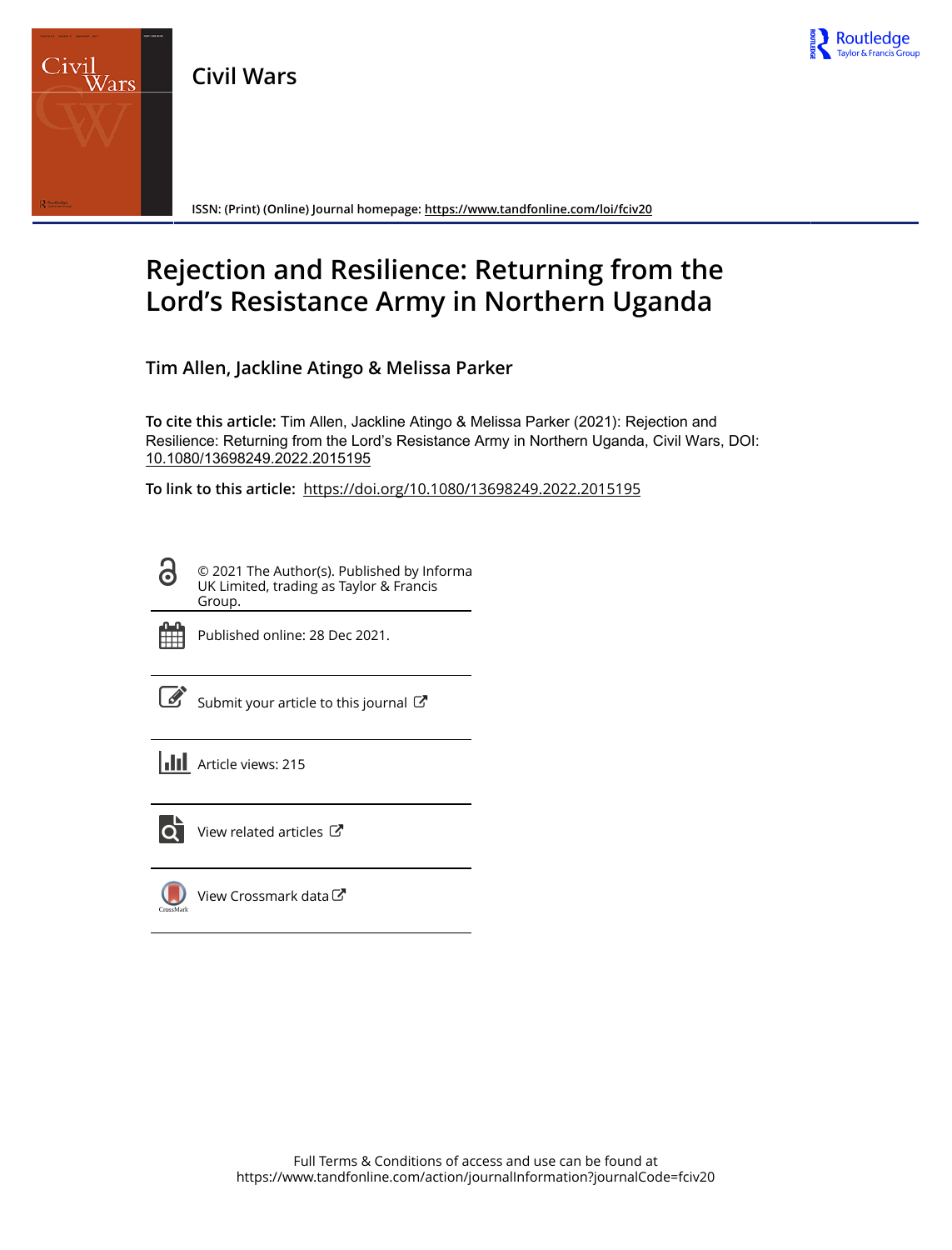





**ISSN: (Print) (Online) Journal homepage:<https://www.tandfonline.com/loi/fciv20>**

# **Rejection and Resilience: Returning from the Lord's Resistance Army in Northern Uganda**

**Tim Allen, Jackline Atingo & Melissa Parker**

**To cite this article:** Tim Allen, Jackline Atingo & Melissa Parker (2021): Rejection and Resilience: Returning from the Lord's Resistance Army in Northern Uganda, Civil Wars, DOI: [10.1080/13698249.2022.2015195](https://www.tandfonline.com/action/showCitFormats?doi=10.1080/13698249.2022.2015195)

**To link to this article:** <https://doi.org/10.1080/13698249.2022.2015195>

© 2021 The Author(s). Published by Informa UK Limited, trading as Taylor & Francis Group.



ര

Published online: 28 Dec 2021.

[Submit your article to this journal](https://www.tandfonline.com/action/authorSubmission?journalCode=fciv20&show=instructions)  $\mathbb{Z}$ 

**III** Article views: 215



 $\overrightarrow{Q}$  [View related articles](https://www.tandfonline.com/doi/mlt/10.1080/13698249.2022.2015195)  $\overrightarrow{C}$ 

[View Crossmark data](http://crossmark.crossref.org/dialog/?doi=10.1080/13698249.2022.2015195&domain=pdf&date_stamp=2021-12-28)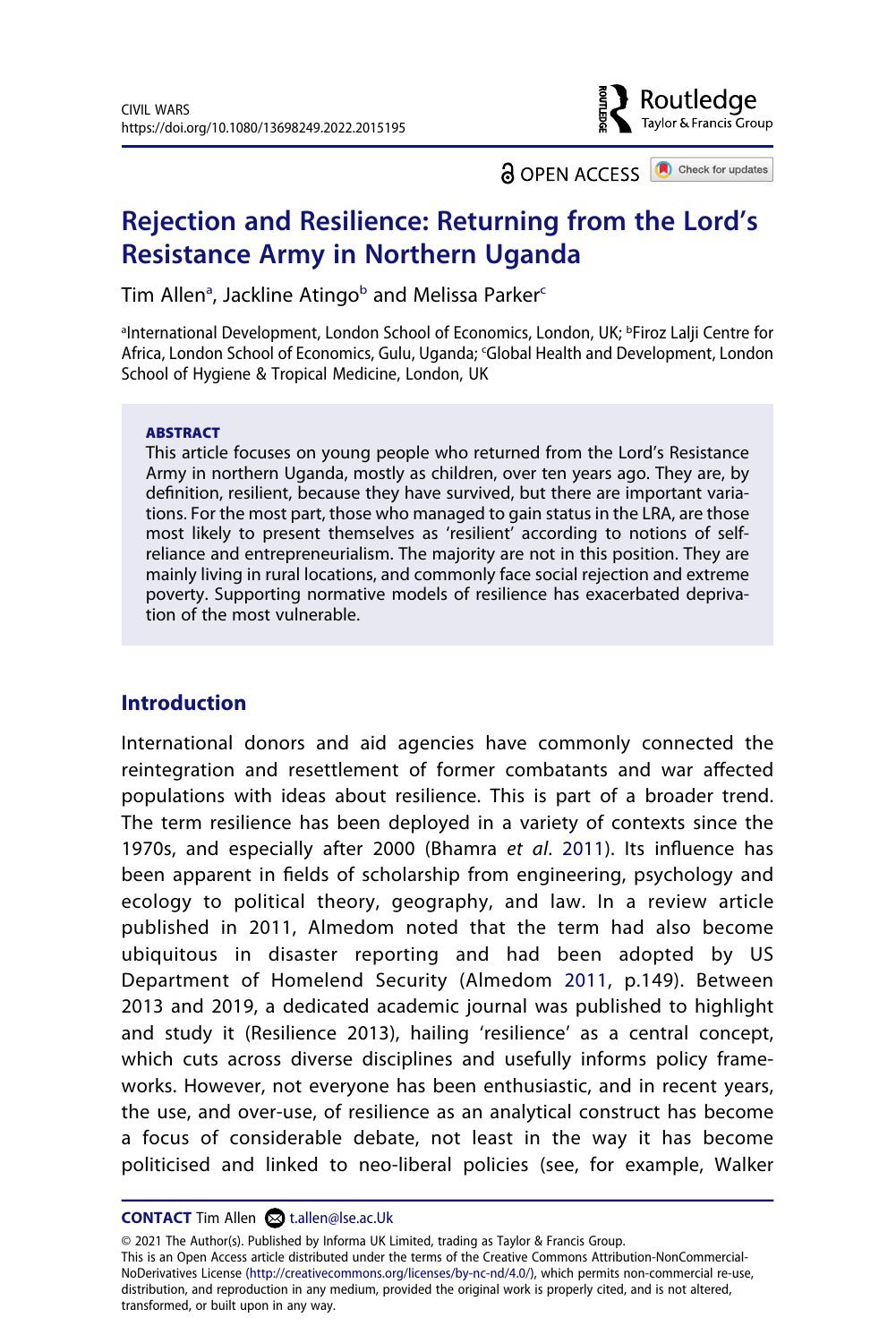

**a** OPEN ACCESS **C** Check for updates

# **Rejection and Resilience: Returning from the Lord's Resistance Army in Northern Uganda**

Tim Allen<sup>[a](#page-1-0)</sup>, Jackline Atingo<sup>[b](#page-1-0)</sup> and Melissa Parker $^{\mathsf{c}}$  $^{\mathsf{c}}$  $^{\mathsf{c}}$ 

<span id="page-1-1"></span><span id="page-1-0"></span><sup>a</sup>International Development, London School of Economics, London, UK; <sup>b</sup>Firoz Lalji Centre for Africa, London School of Economics, Gulu, Uganda; 'Global Health and Development, London School of Hygiene & Tropical Medicine, London, UK

#### **ABSTRACT**

This article focuses on young people who returned from the Lord's Resistance Army in northern Uganda, mostly as children, over ten years ago. They are, by definition, resilient, because they have survived, but there are important variations. For the most part, those who managed to gain status in the LRA, are those most likely to present themselves as 'resilient' according to notions of selfreliance and entrepreneurialism. The majority are not in this position. They are mainly living in rural locations, and commonly face social rejection and extreme poverty. Supporting normative models of resilience has exacerbated deprivation of the most vulnerable.

# **Introduction**

<span id="page-1-3"></span><span id="page-1-2"></span>International donors and aid agencies have commonly connected the reintegration and resettlement of former combatants and war affected populations with ideas about resilience. This is part of a broader trend. The term resilience has been deployed in a variety of contexts since the 1970s, and especially after 2000 (Bhamra *et al*. [2011\)](#page-27-0). Its influence has been apparent in fields of scholarship from engineering, psychology and ecology to political theory, geography, and law. In a review article published in 2011, Almedom noted that the term had also become ubiquitous in disaster reporting and had been adopted by US Department of Homelend Security (Almedom [2011](#page-25-0), p.149). Between 2013 and 2019, a dedicated academic journal was published to highlight and study it (Resilience 2013), hailing 'resilience' as a central concept, which cuts across diverse disciplines and usefully informs policy frameworks. However, not everyone has been enthusiastic, and in recent years, the use, and over-use, of resilience as an analytical construct has become a focus of considerable debate, not least in the way it has become politicised and linked to neo-liberal policies (see, for example, Walker

**CONTACT** Tim Allen **۞** t.allen@lse.ac.Uk

© 2021 The Author(s). Published by Informa UK Limited, trading as Taylor & Francis Group. This is an Open Access article distributed under the terms of the Creative Commons Attribution-NonCommercial-NoDerivatives License (http://creativecommons.org/licenses/by-nc-nd/4.0/), which permits non-commercial re-use, distribution, and reproduction in any medium, provided the original work is properly cited, and is not altered, transformed, or built upon in any way.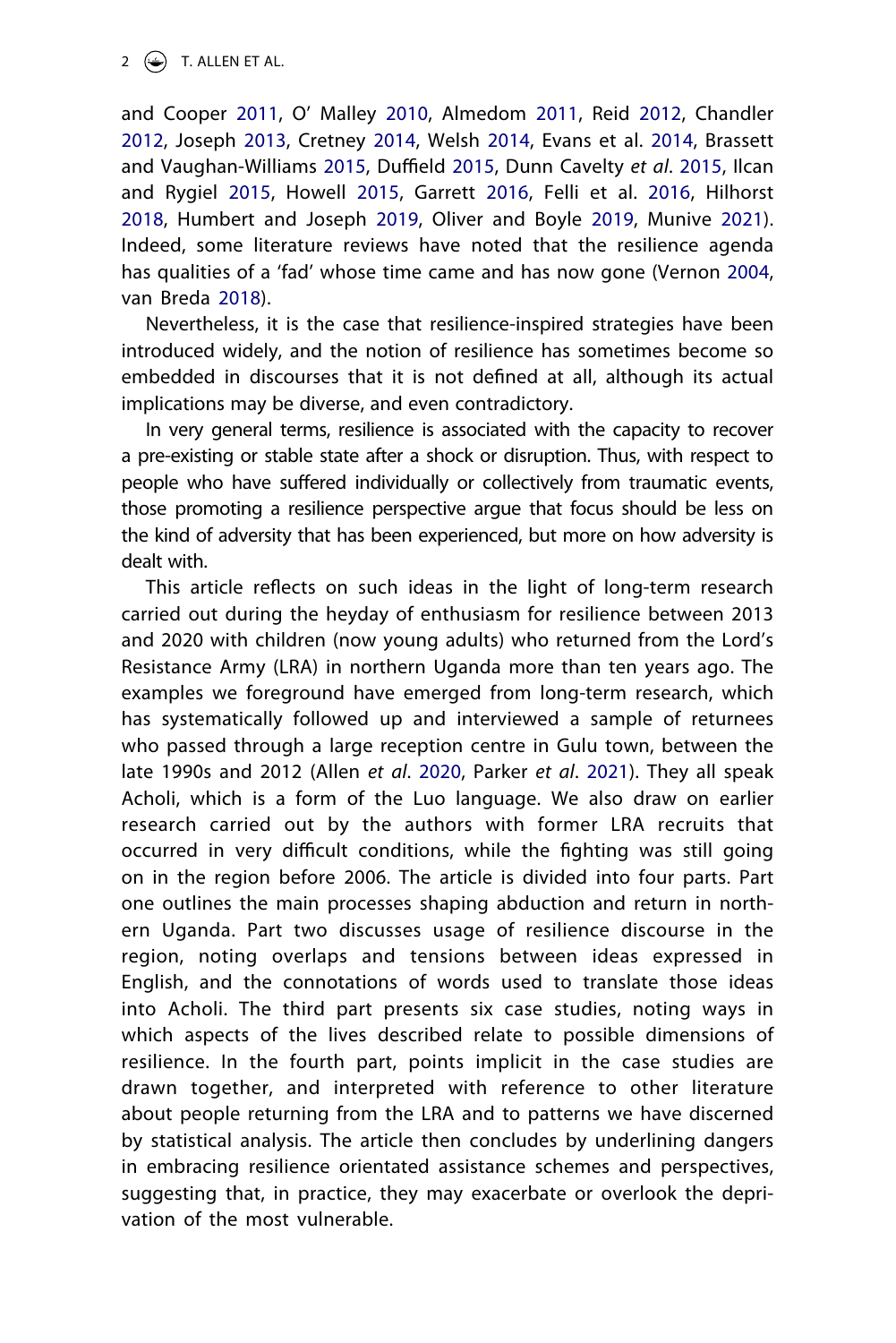<span id="page-2-5"></span><span id="page-2-4"></span><span id="page-2-3"></span><span id="page-2-2"></span><span id="page-2-1"></span>and Cooper [2011,](#page-28-0) O' Malley [2010,](#page-27-1) Almedom [2011,](#page-25-0) Reid [2012,](#page-27-2) Chandler [2012,](#page-25-1) Joseph [2013,](#page-26-0) Cretney [2014](#page-26-1), Welsh [2014,](#page-28-1) Evans et al. [2014,](#page-26-2) Brassett and Vaughan-Williams [2015,](#page-25-2) Duffield [2015](#page-26-3), Dunn Cavelty *et al*. [2015,](#page-26-4) Ilcan and Rygiel [2015,](#page-26-5) Howell [2015](#page-26-6), Garrett [2016](#page-26-7), Felli et al. [2016](#page-26-8), Hilhorst [2018,](#page-26-9) Humbert and Joseph [2019,](#page-26-10) Oliver and Boyle [2019](#page-27-3), Munive [2021](#page-27-4)). Indeed, some literature reviews have noted that the resilience agenda has qualities of a 'fad' whose time came and has now gone (Vernon [2004](#page-28-2), van Breda [2018\)](#page-28-3).

<span id="page-2-7"></span><span id="page-2-6"></span>Nevertheless, it is the case that resilience-inspired strategies have been introduced widely, and the notion of resilience has sometimes become so embedded in discourses that it is not defined at all, although its actual implications may be diverse, and even contradictory.

In very general terms, resilience is associated with the capacity to recover a pre-existing or stable state after a shock or disruption. Thus, with respect to people who have suffered individually or collectively from traumatic events, those promoting a resilience perspective argue that focus should be less on the kind of adversity that has been experienced, but more on how adversity is dealt with.

<span id="page-2-0"></span>This article reflects on such ideas in the light of long-term research carried out during the heyday of enthusiasm for resilience between 2013 and 2020 with children (now young adults) who returned from the Lord's Resistance Army (LRA) in northern Uganda more than ten years ago. The examples we foreground have emerged from long-term research, which has systematically followed up and interviewed a sample of returnees who passed through a large reception centre in Gulu town, between the late 1990s and 2012 (Allen *et al*. [2020,](#page-25-3) Parker *et al*. [2021\)](#page-27-5). They all speak Acholi, which is a form of the Luo language. We also draw on earlier research carried out by the authors with former LRA recruits that occurred in very difficult conditions, while the fighting was still going on in the region before 2006. The article is divided into four parts. Part one outlines the main processes shaping abduction and return in northern Uganda. Part two discusses usage of resilience discourse in the region, noting overlaps and tensions between ideas expressed in English, and the connotations of words used to translate those ideas into Acholi. The third part presents six case studies, noting ways in which aspects of the lives described relate to possible dimensions of resilience. In the fourth part, points implicit in the case studies are drawn together, and interpreted with reference to other literature about people returning from the LRA and to patterns we have discerned by statistical analysis. The article then concludes by underlining dangers in embracing resilience orientated assistance schemes and perspectives, suggesting that, in practice, they may exacerbate or overlook the deprivation of the most vulnerable.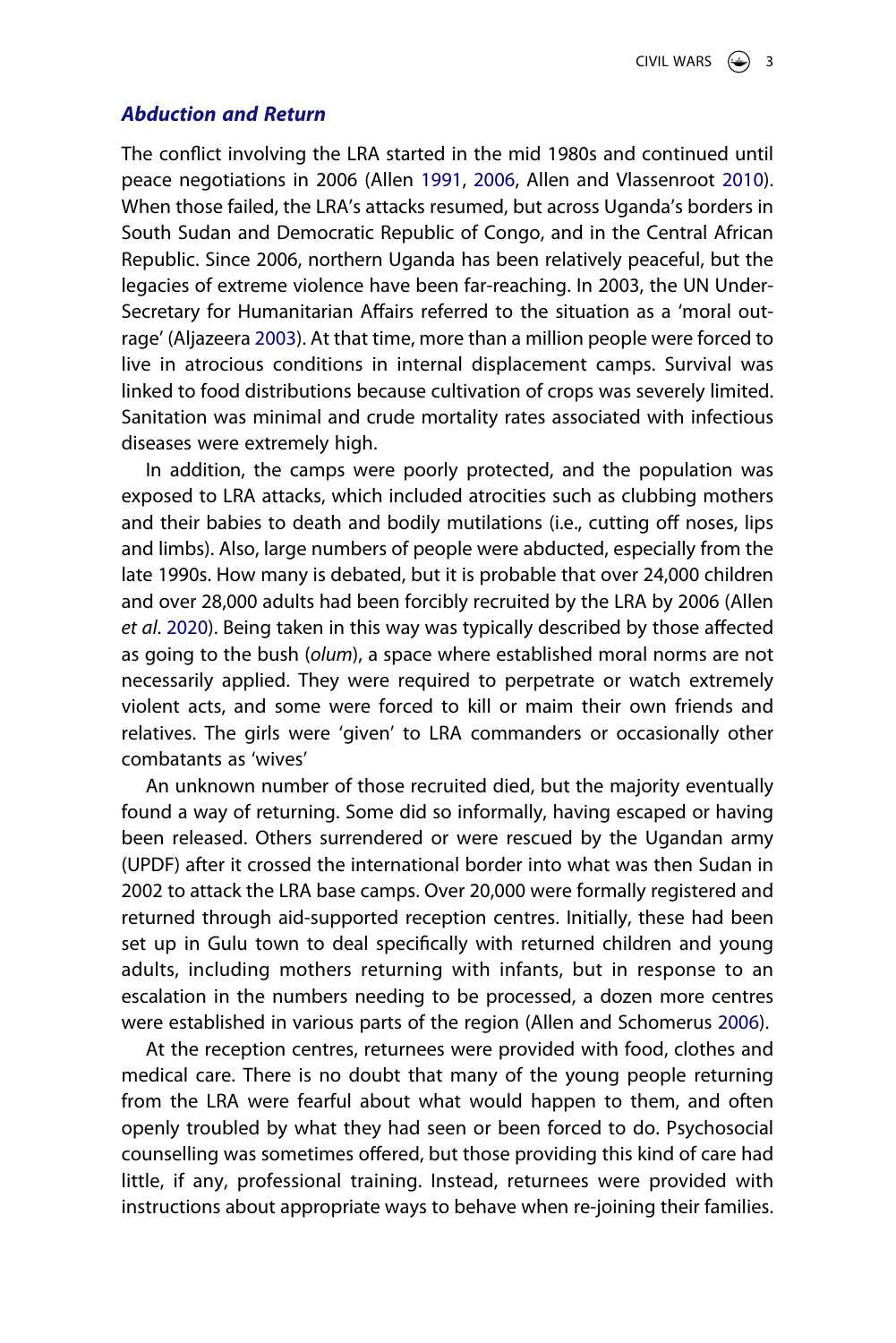#### *Abduction and Return*

<span id="page-3-1"></span>The conflict involving the LRA started in the mid 1980s and continued until peace negotiations in 2006 (Allen [1991](#page-24-0), [2006](#page-25-4), Allen and Vlassenroot [2010](#page-25-5)). When those failed, the LRA's attacks resumed, but across Uganda's borders in South Sudan and Democratic Republic of Congo, and in the Central African Republic. Since 2006, northern Uganda has been relatively peaceful, but the legacies of extreme violence have been far-reaching. In 2003, the UN Under-Secretary for Humanitarian Affairs referred to the situation as a 'moral outrage' (Aljazeera [2003](#page-24-1)). At that time, more than a million people were forced to live in atrocious conditions in internal displacement camps. Survival was linked to food distributions because cultivation of crops was severely limited. Sanitation was minimal and crude mortality rates associated with infectious diseases were extremely high.

<span id="page-3-0"></span>In addition, the camps were poorly protected, and the population was exposed to LRA attacks, which included atrocities such as clubbing mothers and their babies to death and bodily mutilations (i.e., cutting off noses, lips and limbs). Also, large numbers of people were abducted, especially from the late 1990s. How many is debated, but it is probable that over 24,000 children and over 28,000 adults had been forcibly recruited by the LRA by 2006 (Allen *et al*. [2020\)](#page-25-3). Being taken in this way was typically described by those affected as going to the bush (*olum*), a space where established moral norms are not necessarily applied. They were required to perpetrate or watch extremely violent acts, and some were forced to kill or maim their own friends and relatives. The girls were 'given' to LRA commanders or occasionally other combatants as 'wives'

An unknown number of those recruited died, but the majority eventually found a way of returning. Some did so informally, having escaped or having been released. Others surrendered or were rescued by the Ugandan army (UPDF) after it crossed the international border into what was then Sudan in 2002 to attack the LRA base camps. Over 20,000 were formally registered and returned through aid-supported reception centres. Initially, these had been set up in Gulu town to deal specifically with returned children and young adults, including mothers returning with infants, but in response to an escalation in the numbers needing to be processed, a dozen more centres were established in various parts of the region (Allen and Schomerus [2006](#page-25-6)).

<span id="page-3-2"></span>At the reception centres, returnees were provided with food, clothes and medical care. There is no doubt that many of the young people returning from the LRA were fearful about what would happen to them, and often openly troubled by what they had seen or been forced to do. Psychosocial counselling was sometimes offered, but those providing this kind of care had little, if any, professional training. Instead, returnees were provided with instructions about appropriate ways to behave when re-joining their families.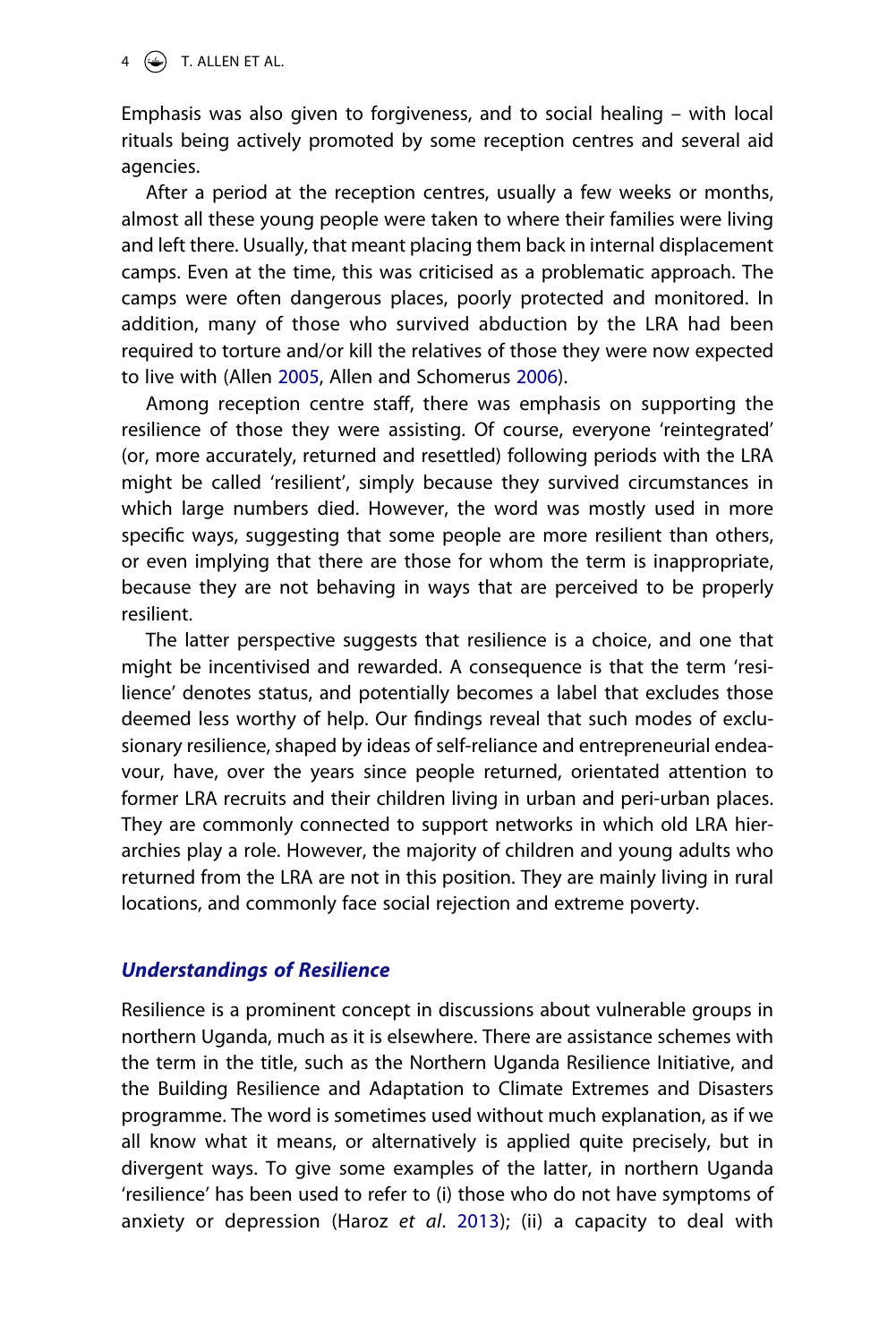$4 \quad \textcircled{\LARGE{\textcircled{\small{\text{--}}}}}$  T. ALLEN ET AL.

Emphasis was also given to forgiveness, and to social healing – with local rituals being actively promoted by some reception centres and several aid agencies.

After a period at the reception centres, usually a few weeks or months, almost all these young people were taken to where their families were living and left there. Usually, that meant placing them back in internal displacement camps. Even at the time, this was criticised as a problematic approach. The camps were often dangerous places, poorly protected and monitored. In addition, many of those who survived abduction by the LRA had been required to torture and/or kill the relatives of those they were now expected to live with (Allen [2005,](#page-25-7) Allen and Schomerus [2006\)](#page-25-6).

<span id="page-4-0"></span>Among reception centre staff, there was emphasis on supporting the resilience of those they were assisting. Of course, everyone 'reintegrated' (or, more accurately, returned and resettled) following periods with the LRA might be called 'resilient', simply because they survived circumstances in which large numbers died. However, the word was mostly used in more specific ways, suggesting that some people are more resilient than others, or even implying that there are those for whom the term is inappropriate, because they are not behaving in ways that are perceived to be properly resilient.

The latter perspective suggests that resilience is a choice, and one that might be incentivised and rewarded. A consequence is that the term 'resilience' denotes status, and potentially becomes a label that excludes those deemed less worthy of help. Our findings reveal that such modes of exclusionary resilience, shaped by ideas of self-reliance and entrepreneurial endeavour, have, over the years since people returned, orientated attention to former LRA recruits and their children living in urban and peri-urban places. They are commonly connected to support networks in which old LRA hierarchies play a role. However, the majority of children and young adults who returned from the LRA are not in this position. They are mainly living in rural locations, and commonly face social rejection and extreme poverty.

# *Understandings of Resilience*

<span id="page-4-1"></span>Resilience is a prominent concept in discussions about vulnerable groups in northern Uganda, much as it is elsewhere. There are assistance schemes with the term in the title, such as the Northern Uganda Resilience Initiative, and the Building Resilience and Adaptation to Climate Extremes and Disasters programme. The word is sometimes used without much explanation, as if we all know what it means, or alternatively is applied quite precisely, but in divergent ways. To give some examples of the latter, in northern Uganda 'resilience' has been used to refer to (i) those who do not have symptoms of anxiety or depression (Haroz *et al*. [2013\)](#page-26-11); (ii) a capacity to deal with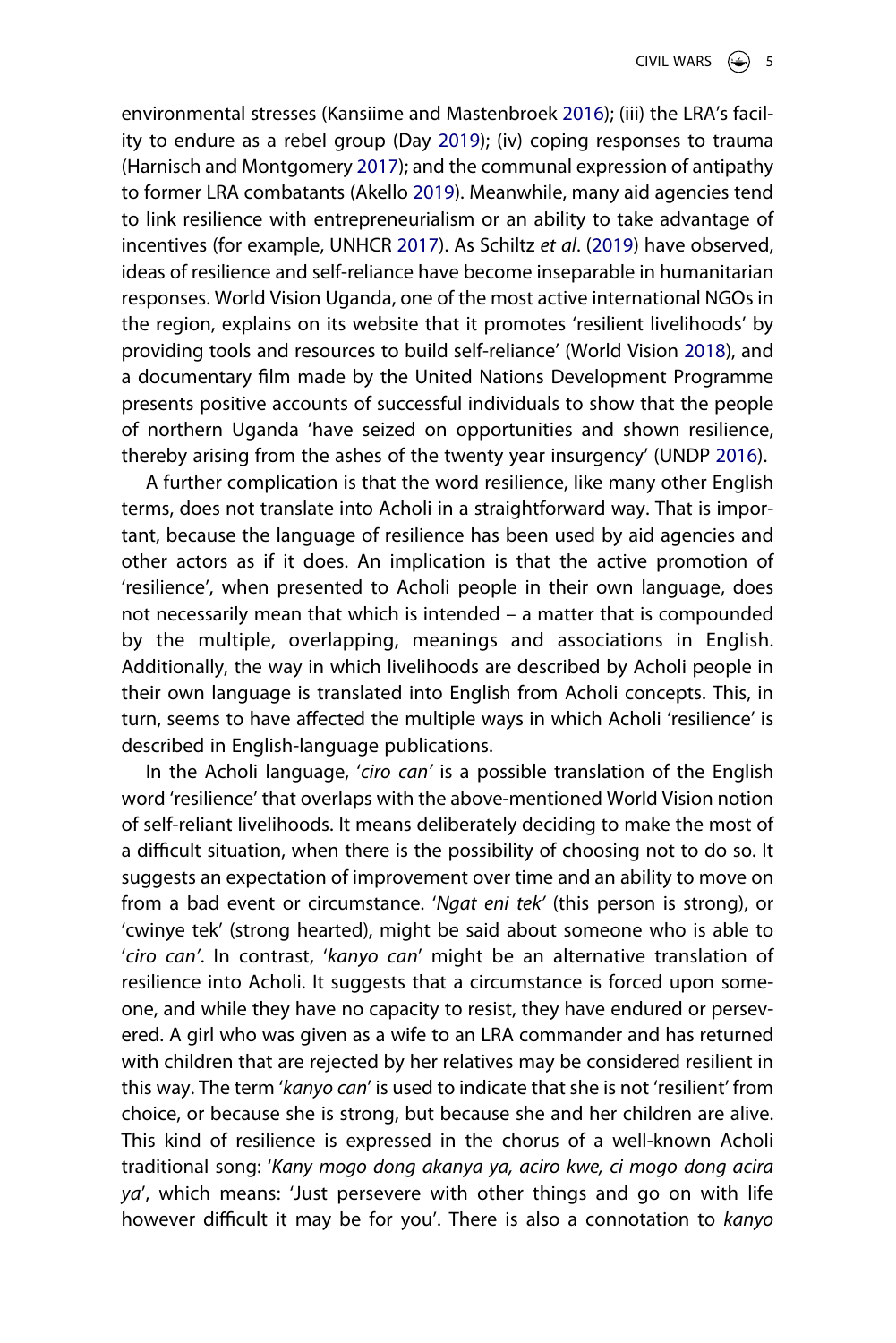<span id="page-5-4"></span><span id="page-5-3"></span><span id="page-5-2"></span><span id="page-5-1"></span><span id="page-5-0"></span>environmental stresses (Kansiime and Mastenbroek [2016](#page-27-6)); (iii) the LRA's facility to endure as a rebel group (Day [2019](#page-26-12)); (iv) coping responses to trauma (Harnisch and Montgomery [2017\)](#page-26-13); and the communal expression of antipathy to former LRA combatants (Akello [2019\)](#page-24-2). Meanwhile, many aid agencies tend to link resilience with entrepreneurialism or an ability to take advantage of incentives (for example, UNHCR [2017\)](#page-28-4). As Schiltz *et al*. [\(2019\)](#page-27-7) have observed, ideas of resilience and self-reliance have become inseparable in humanitarian responses. World Vision Uganda, one of the most active international NGOs in the region, explains on its website that it promotes 'resilient livelihoods' by providing tools and resources to build self-reliance' (World Vision [2018\)](#page-28-5), and a documentary film made by the United Nations Development Programme presents positive accounts of successful individuals to show that the people of northern Uganda 'have seized on opportunities and shown resilience, thereby arising from the ashes of the twenty year insurgency' (UNDP [2016](#page-27-8)).

<span id="page-5-6"></span><span id="page-5-5"></span>A further complication is that the word resilience, like many other English terms, does not translate into Acholi in a straightforward way. That is important, because the language of resilience has been used by aid agencies and other actors as if it does. An implication is that the active promotion of 'resilience', when presented to Acholi people in their own language, does not necessarily mean that which is intended – a matter that is compounded by the multiple, overlapping, meanings and associations in English. Additionally, the way in which livelihoods are described by Acholi people in their own language is translated into English from Acholi concepts. This, in turn, seems to have affected the multiple ways in which Acholi 'resilience' is described in English-language publications.

In the Acholi language, '*ciro can'* is a possible translation of the English word 'resilience' that overlaps with the above-mentioned World Vision notion of self-reliant livelihoods. It means deliberately deciding to make the most of a difficult situation, when there is the possibility of choosing not to do so. It suggests an expectation of improvement over time and an ability to move on from a bad event or circumstance. '*Ngat eni tek'* (this person is strong), or 'cwinye tek' (strong hearted), might be said about someone who is able to '*ciro can'*. In contrast, '*kanyo can*' might be an alternative translation of resilience into Acholi. It suggests that a circumstance is forced upon someone, and while they have no capacity to resist, they have endured or persevered. A girl who was given as a wife to an LRA commander and has returned with children that are rejected by her relatives may be considered resilient in this way. The term '*kanyo can*' is used to indicate that she is not 'resilient' from choice, or because she is strong, but because she and her children are alive. This kind of resilience is expressed in the chorus of a well-known Acholi traditional song: '*Kany mogo dong akanya ya, aciro kwe, ci mogo dong acira ya*', which means: 'Just persevere with other things and go on with life however difficult it may be for you'. There is also a connotation to *kanyo*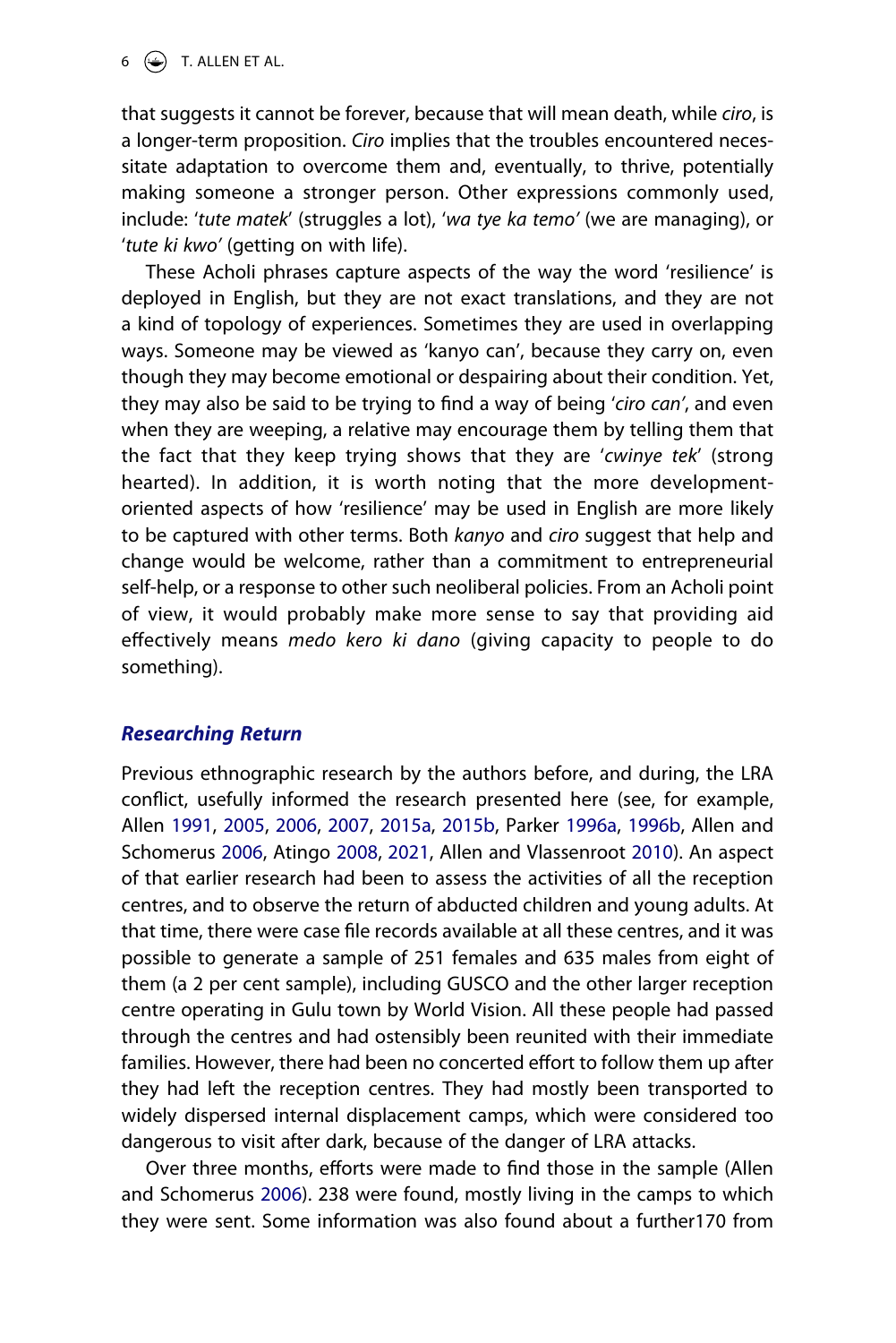that suggests it cannot be forever, because that will mean death, while *ciro*, is a longer-term proposition. *Ciro* implies that the troubles encountered necessitate adaptation to overcome them and, eventually, to thrive, potentially making someone a stronger person. Other expressions commonly used, include: '*tute matek*' (struggles a lot), '*wa tye ka temo'* (we are managing), or '*tute ki kwo'* (getting on with life).

These Acholi phrases capture aspects of the way the word 'resilience' is deployed in English, but they are not exact translations, and they are not a kind of topology of experiences. Sometimes they are used in overlapping ways. Someone may be viewed as 'kanyo can', because they carry on, even though they may become emotional or despairing about their condition. Yet, they may also be said to be trying to find a way of being '*ciro can'*, and even when they are weeping, a relative may encourage them by telling them that the fact that they keep trying shows that they are '*cwinye tek*' (strong hearted). In addition, it is worth noting that the more developmentoriented aspects of how 'resilience' may be used in English are more likely to be captured with other terms. Both *kanyo* and *ciro* suggest that help and change would be welcome, rather than a commitment to entrepreneurial self-help, or a response to other such neoliberal policies. From an Acholi point of view, it would probably make more sense to say that providing aid effectively means *medo kero ki dano* (giving capacity to people to do something).

# *Researching Return*

<span id="page-6-1"></span><span id="page-6-0"></span>Previous ethnographic research by the authors before, and during, the LRA conflict, usefully informed the research presented here (see, for example, Allen [1991](#page-24-0), [2005,](#page-25-7) [2006,](#page-25-4) [2007](#page-25-8), [2015a](#page-25-9), [2015b,](#page-25-10) Parker [1996a,](#page-27-9) [1996b](#page-27-10), Allen and Schomerus [2006,](#page-25-6) Atingo [2008,](#page-25-11) [2021](#page-25-12), Allen and Vlassenroot [2010\)](#page-25-5). An aspect of that earlier research had been to assess the activities of all the reception centres, and to observe the return of abducted children and young adults. At that time, there were case file records available at all these centres, and it was possible to generate a sample of 251 females and 635 males from eight of them (a 2 per cent sample), including GUSCO and the other larger reception centre operating in Gulu town by World Vision. All these people had passed through the centres and had ostensibly been reunited with their immediate families. However, there had been no concerted effort to follow them up after they had left the reception centres. They had mostly been transported to widely dispersed internal displacement camps, which were considered too dangerous to visit after dark, because of the danger of LRA attacks.

Over three months, efforts were made to find those in the sample (Allen and Schomerus [2006](#page-25-6)). 238 were found, mostly living in the camps to which they were sent. Some information was also found about a further170 from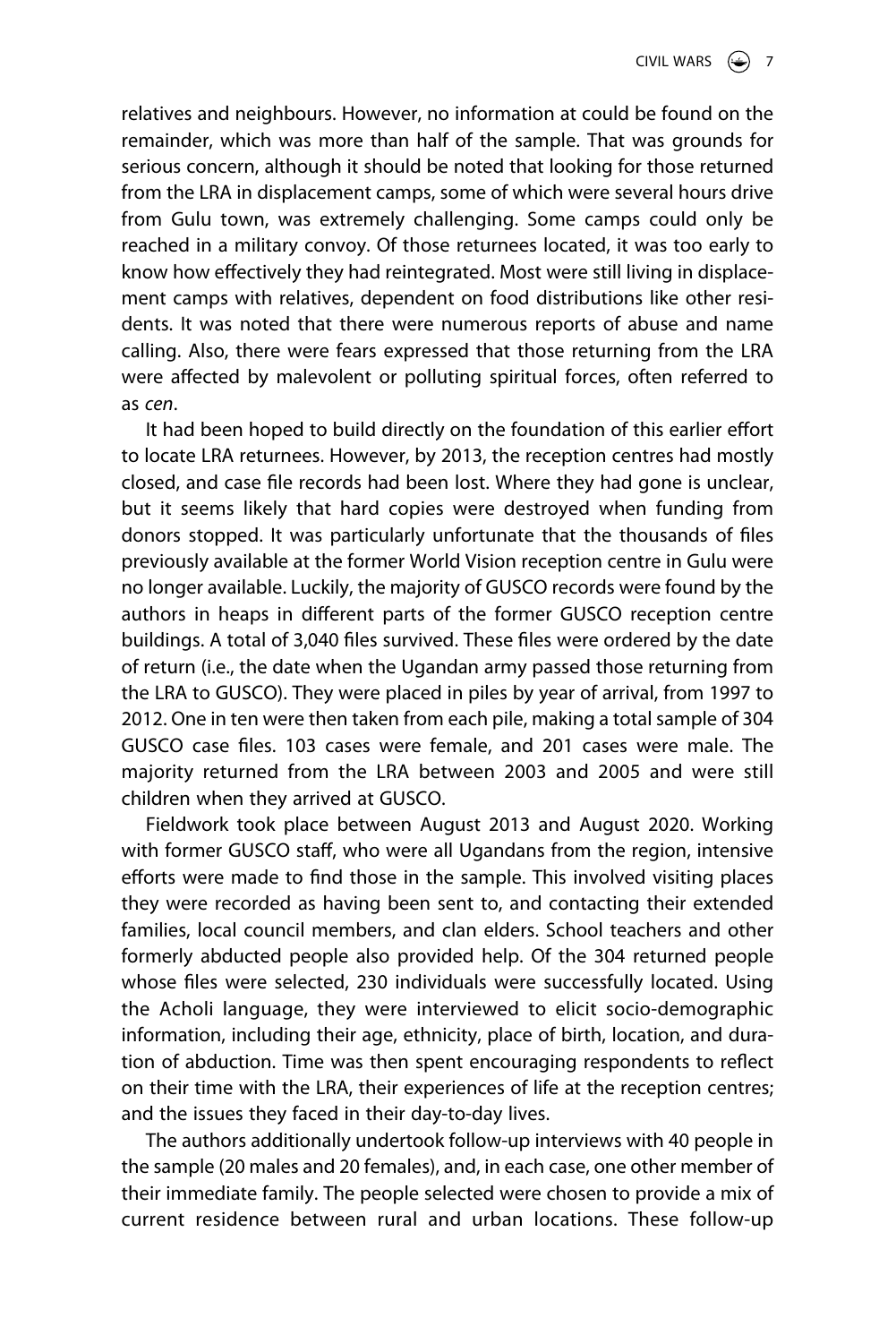relatives and neighbours. However, no information at could be found on the remainder, which was more than half of the sample. That was grounds for serious concern, although it should be noted that looking for those returned from the LRA in displacement camps, some of which were several hours drive from Gulu town, was extremely challenging. Some camps could only be reached in a military convoy. Of those returnees located, it was too early to know how effectively they had reintegrated. Most were still living in displacement camps with relatives, dependent on food distributions like other residents. It was noted that there were numerous reports of abuse and name calling. Also, there were fears expressed that those returning from the LRA were affected by malevolent or polluting spiritual forces, often referred to as *cen*.

It had been hoped to build directly on the foundation of this earlier effort to locate LRA returnees. However, by 2013, the reception centres had mostly closed, and case file records had been lost. Where they had gone is unclear, but it seems likely that hard copies were destroyed when funding from donors stopped. It was particularly unfortunate that the thousands of files previously available at the former World Vision reception centre in Gulu were no longer available. Luckily, the majority of GUSCO records were found by the authors in heaps in different parts of the former GUSCO reception centre buildings. A total of 3,040 files survived. These files were ordered by the date of return (i.e., the date when the Ugandan army passed those returning from the LRA to GUSCO). They were placed in piles by year of arrival, from 1997 to 2012. One in ten were then taken from each pile, making a total sample of 304 GUSCO case files. 103 cases were female, and 201 cases were male. The majority returned from the LRA between 2003 and 2005 and were still children when they arrived at GUSCO.

Fieldwork took place between August 2013 and August 2020. Working with former GUSCO staff, who were all Ugandans from the region, intensive efforts were made to find those in the sample. This involved visiting places they were recorded as having been sent to, and contacting their extended families, local council members, and clan elders. School teachers and other formerly abducted people also provided help. Of the 304 returned people whose files were selected, 230 individuals were successfully located. Using the Acholi language, they were interviewed to elicit socio-demographic information, including their age, ethnicity, place of birth, location, and duration of abduction. Time was then spent encouraging respondents to reflect on their time with the LRA, their experiences of life at the reception centres; and the issues they faced in their day-to-day lives.

The authors additionally undertook follow-up interviews with 40 people in the sample (20 males and 20 females), and, in each case, one other member of their immediate family. The people selected were chosen to provide a mix of current residence between rural and urban locations. These follow-up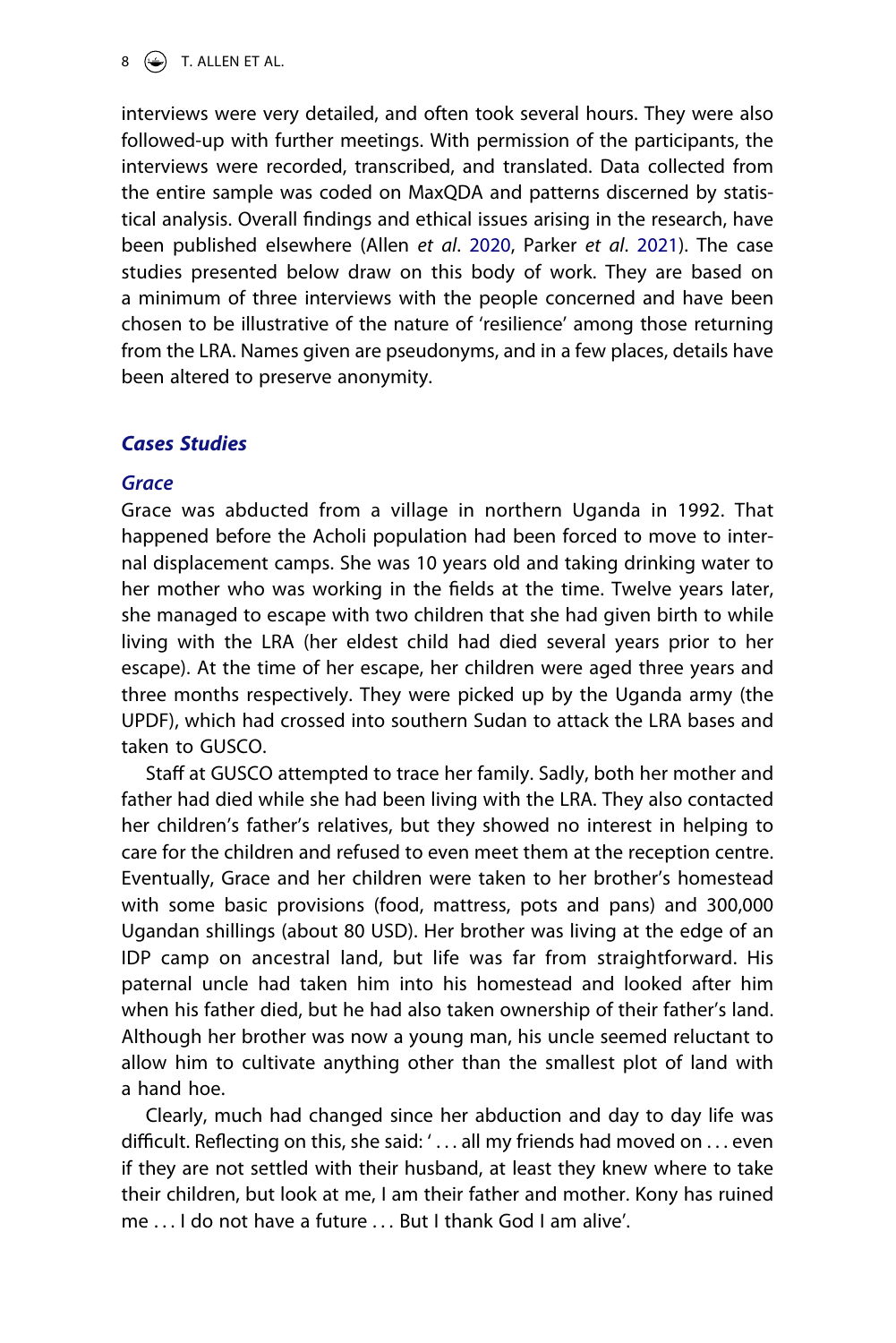interviews were very detailed, and often took several hours. They were also followed-up with further meetings. With permission of the participants, the interviews were recorded, transcribed, and translated. Data collected from the entire sample was coded on MaxQDA and patterns discerned by statistical analysis. Overall findings and ethical issues arising in the research, have been published elsewhere (Allen *et al*. [2020](#page-25-3), Parker *et al*. [2021](#page-27-5)). The case studies presented below draw on this body of work. They are based on a minimum of three interviews with the people concerned and have been chosen to be illustrative of the nature of 'resilience' among those returning from the LRA. Names given are pseudonyms, and in a few places, details have been altered to preserve anonymity.

# *Cases Studies*

# *Grace*

Grace was abducted from a village in northern Uganda in 1992. That happened before the Acholi population had been forced to move to internal displacement camps. She was 10 years old and taking drinking water to her mother who was working in the fields at the time. Twelve years later, she managed to escape with two children that she had given birth to while living with the LRA (her eldest child had died several years prior to her escape). At the time of her escape, her children were aged three years and three months respectively. They were picked up by the Uganda army (the UPDF), which had crossed into southern Sudan to attack the LRA bases and taken to GUSCO.

Staff at GUSCO attempted to trace her family. Sadly, both her mother and father had died while she had been living with the LRA. They also contacted her children's father's relatives, but they showed no interest in helping to care for the children and refused to even meet them at the reception centre. Eventually, Grace and her children were taken to her brother's homestead with some basic provisions (food, mattress, pots and pans) and 300,000 Ugandan shillings (about 80 USD). Her brother was living at the edge of an IDP camp on ancestral land, but life was far from straightforward. His paternal uncle had taken him into his homestead and looked after him when his father died, but he had also taken ownership of their father's land. Although her brother was now a young man, his uncle seemed reluctant to allow him to cultivate anything other than the smallest plot of land with a hand hoe.

Clearly, much had changed since her abduction and day to day life was difficult. Reflecting on this, she said: '... all my friends had moved on ... even if they are not settled with their husband, at least they knew where to take their children, but look at me, I am their father and mother. Kony has ruined me . . . I do not have a future *. . .* But I thank God I am alive'.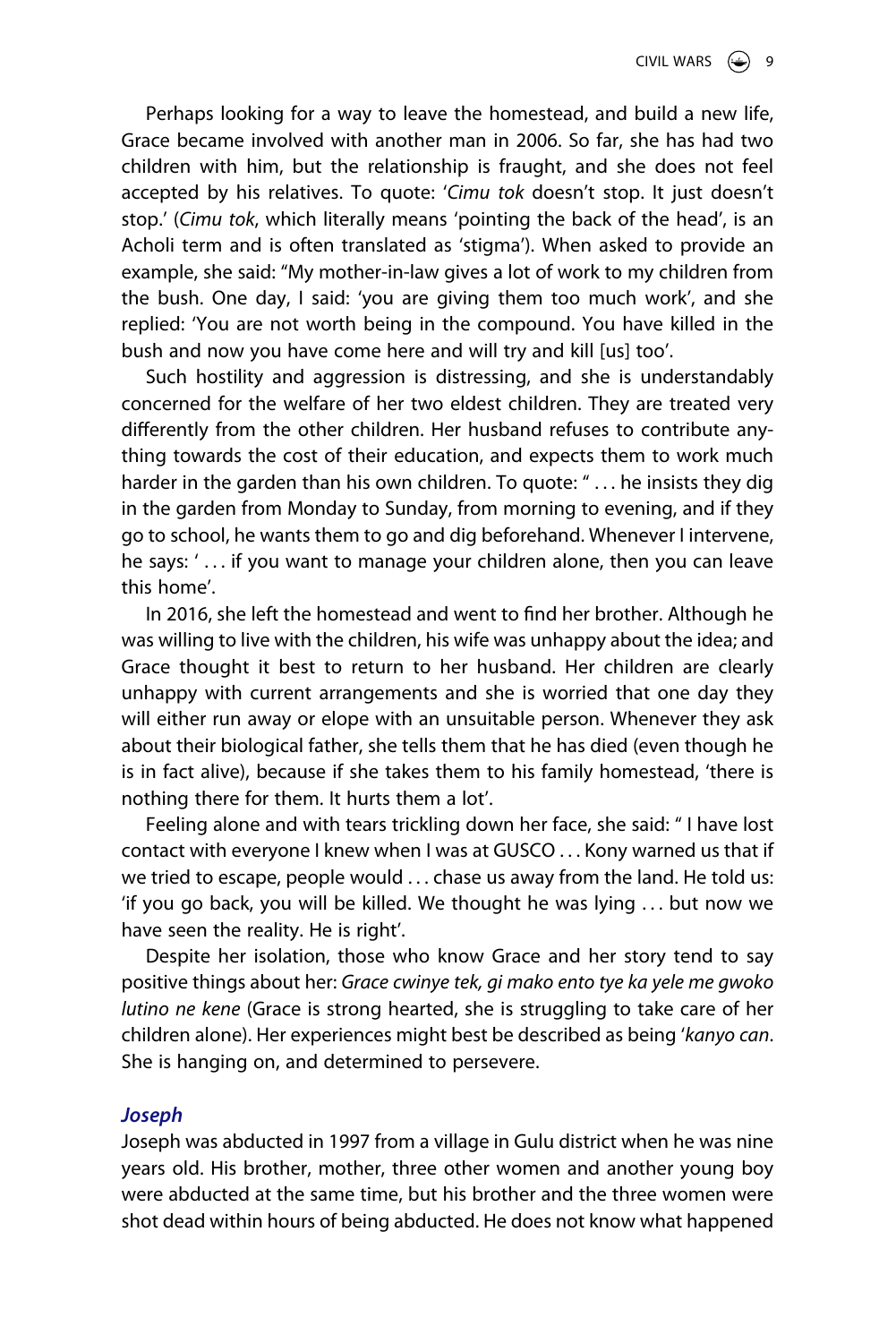Perhaps looking for a way to leave the homestead, and build a new life, Grace became involved with another man in 2006. So far, she has had two children with him, but the relationship is fraught, and she does not feel accepted by his relatives. To quote: '*Cimu tok* doesn't stop. It just doesn't stop.' (*Cimu tok*, which literally means 'pointing the back of the head', is an Acholi term and is often translated as 'stigma'). When asked to provide an example, she said: "My mother-in-law gives a lot of work to my children from the bush. One day, I said: 'you are giving them too much work', and she replied: 'You are not worth being in the compound. You have killed in the bush and now you have come here and will try and kill [us] too'.

Such hostility and aggression is distressing, and she is understandably concerned for the welfare of her two eldest children. They are treated very differently from the other children. Her husband refuses to contribute anything towards the cost of their education, and expects them to work much harder in the garden than his own children. To quote: "... he insists they dig in the garden from Monday to Sunday, from morning to evening, and if they go to school, he wants them to go and dig beforehand. Whenever I intervene, he says: ' . . . if you want to manage your children alone, then you can leave this home'.

In 2016, she left the homestead and went to find her brother. Although he was willing to live with the children, his wife was unhappy about the idea; and Grace thought it best to return to her husband. Her children are clearly unhappy with current arrangements and she is worried that one day they will either run away or elope with an unsuitable person. Whenever they ask about their biological father, she tells them that he has died (even though he is in fact alive), because if she takes them to his family homestead, 'there is nothing there for them. It hurts them a lot'.

Feeling alone and with tears trickling down her face, she said: " I have lost contact with everyone I knew when I was at GUSCO . . . Kony warned us that if we tried to escape, people would ... chase us away from the land. He told us: 'if you go back, you will be killed. We thought he was lying . . . but now we have seen the reality. He is right'.

Despite her isolation, those who know Grace and her story tend to say positive things about her: *Grace cwinye tek, gi mako ento tye ka yele me gwoko lutino ne kene* (Grace is strong hearted, she is struggling to take care of her children alone). Her experiences might best be described as being '*kanyo can*. She is hanging on, and determined to persevere.

#### *Joseph*

Joseph was abducted in 1997 from a village in Gulu district when he was nine years old. His brother, mother, three other women and another young boy were abducted at the same time, but his brother and the three women were shot dead within hours of being abducted. He does not know what happened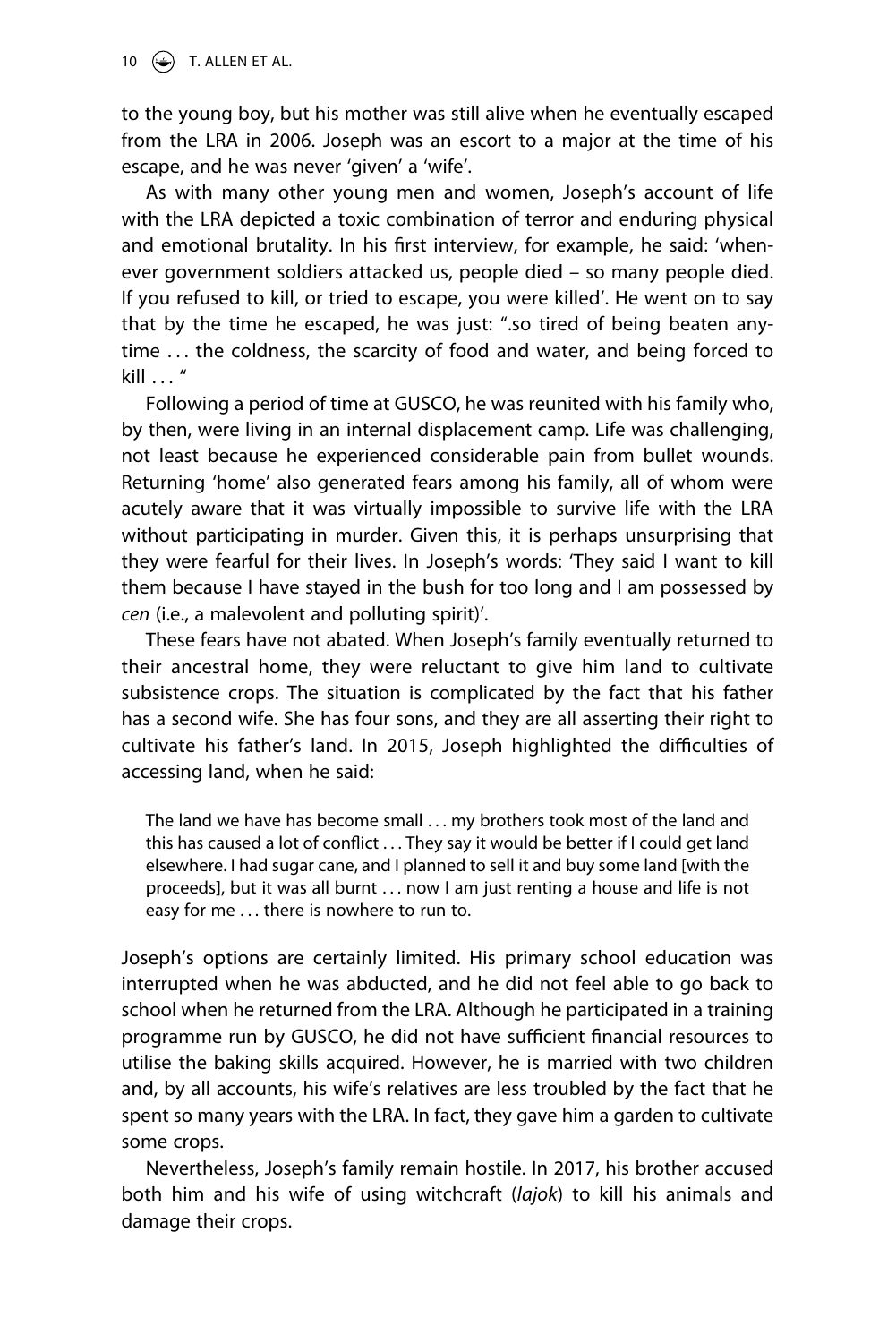to the young boy, but his mother was still alive when he eventually escaped from the LRA in 2006. Joseph was an escort to a major at the time of his escape, and he was never 'given' a 'wife'.

As with many other young men and women, Joseph's account of life with the LRA depicted a toxic combination of terror and enduring physical and emotional brutality. In his first interview, for example, he said: 'whenever government soldiers attacked us, people died – so many people died. If you refused to kill, or tried to escape, you were killed'. He went on to say that by the time he escaped, he was just: ".so tired of being beaten anytime ... the coldness, the scarcity of food and water, and being forced to  $k$ ill  $\frac{u}{u}$ 

Following a period of time at GUSCO, he was reunited with his family who, by then, were living in an internal displacement camp. Life was challenging, not least because he experienced considerable pain from bullet wounds. Returning 'home' also generated fears among his family, all of whom were acutely aware that it was virtually impossible to survive life with the LRA without participating in murder. Given this, it is perhaps unsurprising that they were fearful for their lives. In Joseph's words: 'They said I want to kill them because I have stayed in the bush for too long and I am possessed by *cen* (i.e., a malevolent and polluting spirit)'.

These fears have not abated. When Joseph's family eventually returned to their ancestral home, they were reluctant to give him land to cultivate subsistence crops. The situation is complicated by the fact that his father has a second wife. She has four sons, and they are all asserting their right to cultivate his father's land. In 2015, Joseph highlighted the difficulties of accessing land, when he said:

The land we have has become small . . . my brothers took most of the land and this has caused a lot of conflict . . . They say it would be better if I could get land elsewhere. I had sugar cane, and I planned to sell it and buy some land [with the proceeds], but it was all burnt . . . now I am just renting a house and life is not easy for me . . . there is nowhere to run to.

Joseph's options are certainly limited. His primary school education was interrupted when he was abducted, and he did not feel able to go back to school when he returned from the LRA. Although he participated in a training programme run by GUSCO, he did not have sufficient financial resources to utilise the baking skills acquired. However, he is married with two children and, by all accounts, his wife's relatives are less troubled by the fact that he spent so many years with the LRA. In fact, they gave him a garden to cultivate some crops.

Nevertheless, Joseph's family remain hostile. In 2017, his brother accused both him and his wife of using witchcraft (*lajok*) to kill his animals and damage their crops.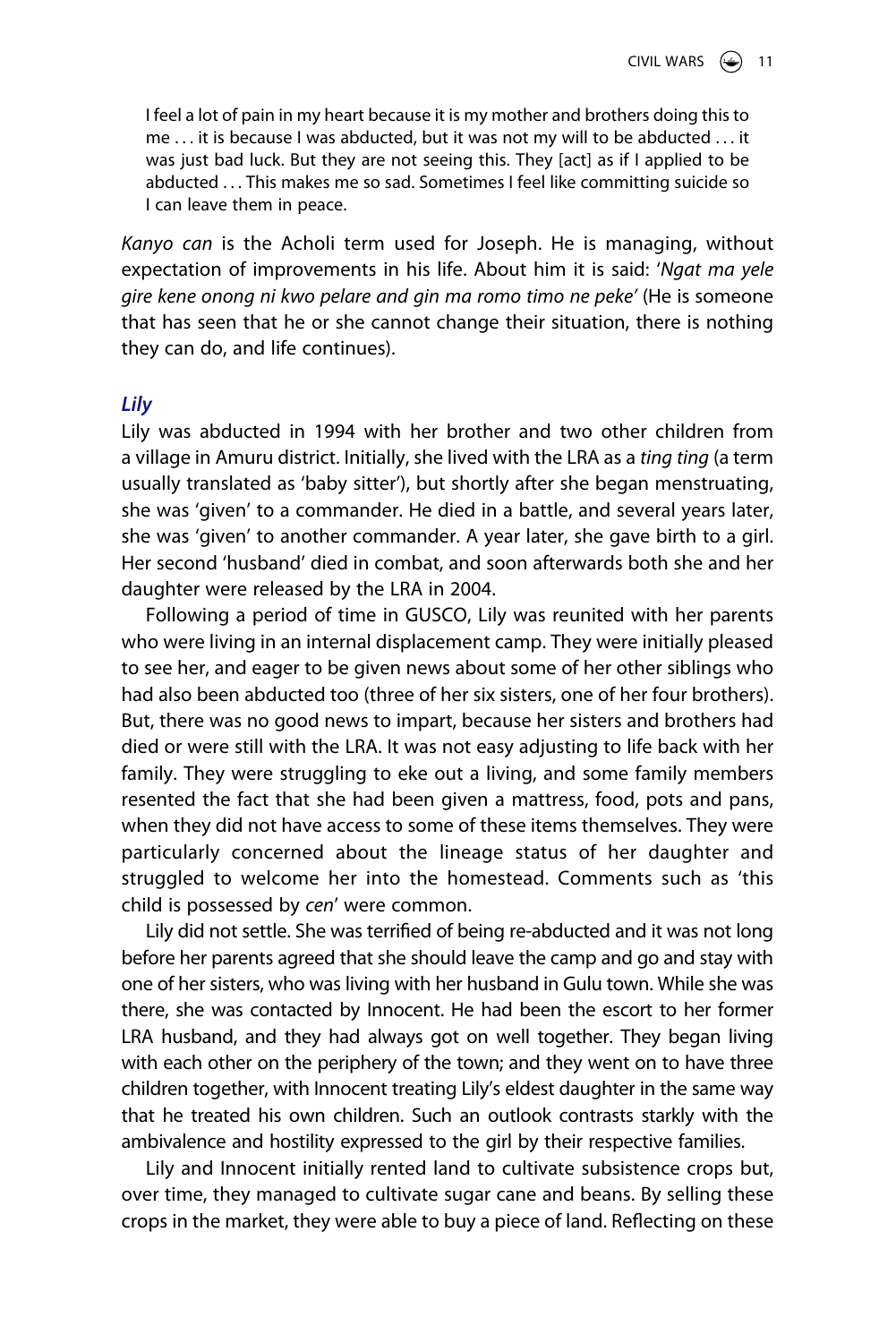I feel a lot of pain in my heart because it is my mother and brothers doing this to me . . . it is because I was abducted, but it was not my will to be abducted . . . it was just bad luck. But they are not seeing this. They [act] as if I applied to be abducted . . . This makes me so sad. Sometimes I feel like committing suicide so I can leave them in peace.

*Kanyo can* is the Acholi term used for Joseph. He is managing, without expectation of improvements in his life. About him it is said: '*Ngat ma yele gire kene onong ni kwo pelare and gin ma romo timo ne peke'* (He is someone that has seen that he or she cannot change their situation, there is nothing they can do, and life continues).

#### *Lily*

Lily was abducted in 1994 with her brother and two other children from a village in Amuru district. Initially, she lived with the LRA as a *ting ting* (a term usually translated as 'baby sitter'), but shortly after she began menstruating, she was 'given' to a commander. He died in a battle, and several years later, she was 'given' to another commander. A year later, she gave birth to a girl. Her second 'husband' died in combat, and soon afterwards both she and her daughter were released by the LRA in 2004.

Following a period of time in GUSCO, Lily was reunited with her parents who were living in an internal displacement camp. They were initially pleased to see her, and eager to be given news about some of her other siblings who had also been abducted too (three of her six sisters, one of her four brothers). But, there was no good news to impart, because her sisters and brothers had died or were still with the LRA. It was not easy adjusting to life back with her family. They were struggling to eke out a living, and some family members resented the fact that she had been given a mattress, food, pots and pans, when they did not have access to some of these items themselves. They were particularly concerned about the lineage status of her daughter and struggled to welcome her into the homestead. Comments such as 'this child is possessed by *cen*' were common.

Lily did not settle. She was terrified of being re-abducted and it was not long before her parents agreed that she should leave the camp and go and stay with one of her sisters, who was living with her husband in Gulu town. While she was there, she was contacted by Innocent. He had been the escort to her former LRA husband, and they had always got on well together. They began living with each other on the periphery of the town; and they went on to have three children together, with Innocent treating Lily's eldest daughter in the same way that he treated his own children. Such an outlook contrasts starkly with the ambivalence and hostility expressed to the girl by their respective families.

Lily and Innocent initially rented land to cultivate subsistence crops but, over time, they managed to cultivate sugar cane and beans. By selling these crops in the market, they were able to buy a piece of land. Reflecting on these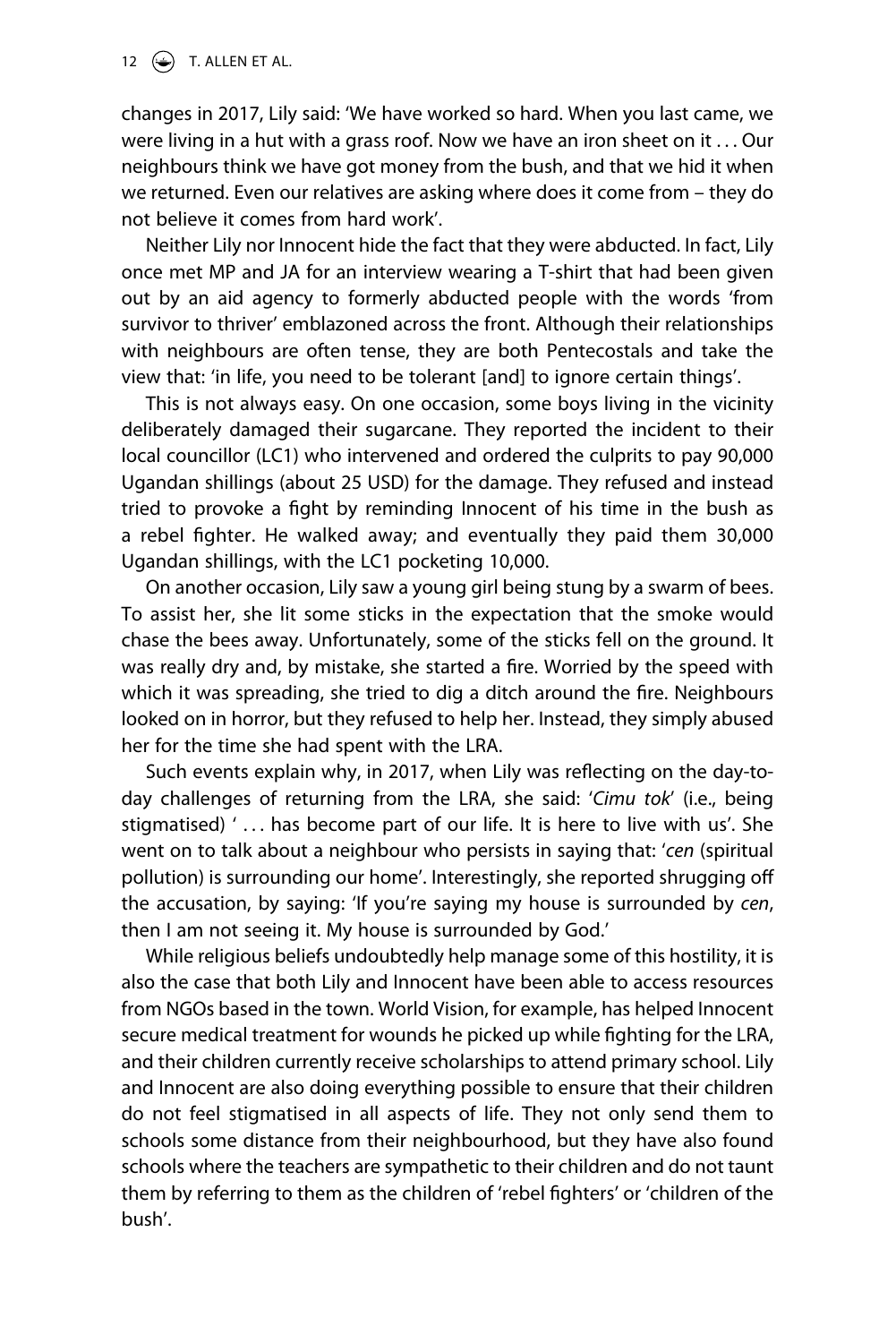12  $\left(\rightarrow\right)$  T. ALLEN ET AL.

changes in 2017, Lily said: 'We have worked so hard. When you last came, we were living in a hut with a grass roof. Now we have an iron sheet on it . . . Our neighbours think we have got money from the bush, and that we hid it when we returned. Even our relatives are asking where does it come from – they do not believe it comes from hard work'.

Neither Lily nor Innocent hide the fact that they were abducted. In fact, Lily once met MP and JA for an interview wearing a T-shirt that had been given out by an aid agency to formerly abducted people with the words 'from survivor to thriver' emblazoned across the front. Although their relationships with neighbours are often tense, they are both Pentecostals and take the view that: 'in life, you need to be tolerant [and] to ignore certain things'.

This is not always easy. On one occasion, some boys living in the vicinity deliberately damaged their sugarcane. They reported the incident to their local councillor (LC1) who intervened and ordered the culprits to pay 90,000 Ugandan shillings (about 25 USD) for the damage. They refused and instead tried to provoke a fight by reminding Innocent of his time in the bush as a rebel fighter. He walked away; and eventually they paid them 30,000 Ugandan shillings, with the LC1 pocketing 10,000.

On another occasion, Lily saw a young girl being stung by a swarm of bees. To assist her, she lit some sticks in the expectation that the smoke would chase the bees away. Unfortunately, some of the sticks fell on the ground. It was really dry and, by mistake, she started a fire. Worried by the speed with which it was spreading, she tried to dig a ditch around the fire. Neighbours looked on in horror, but they refused to help her. Instead, they simply abused her for the time she had spent with the LRA.

Such events explain why, in 2017, when Lily was reflecting on the day-today challenges of returning from the LRA, she said: '*Cimu tok*' (i.e., being stigmatised) '... has become part of our life. It is here to live with us'. She went on to talk about a neighbour who persists in saying that: '*cen* (spiritual pollution) is surrounding our home'. Interestingly, she reported shrugging off the accusation, by saying: 'If you're saying my house is surrounded by *cen*, then I am not seeing it. My house is surrounded by God.'

While religious beliefs undoubtedly help manage some of this hostility, it is also the case that both Lily and Innocent have been able to access resources from NGOs based in the town. World Vision, for example, has helped Innocent secure medical treatment for wounds he picked up while fighting for the LRA, and their children currently receive scholarships to attend primary school. Lily and Innocent are also doing everything possible to ensure that their children do not feel stigmatised in all aspects of life. They not only send them to schools some distance from their neighbourhood, but they have also found schools where the teachers are sympathetic to their children and do not taunt them by referring to them as the children of 'rebel fighters' or 'children of the bush'.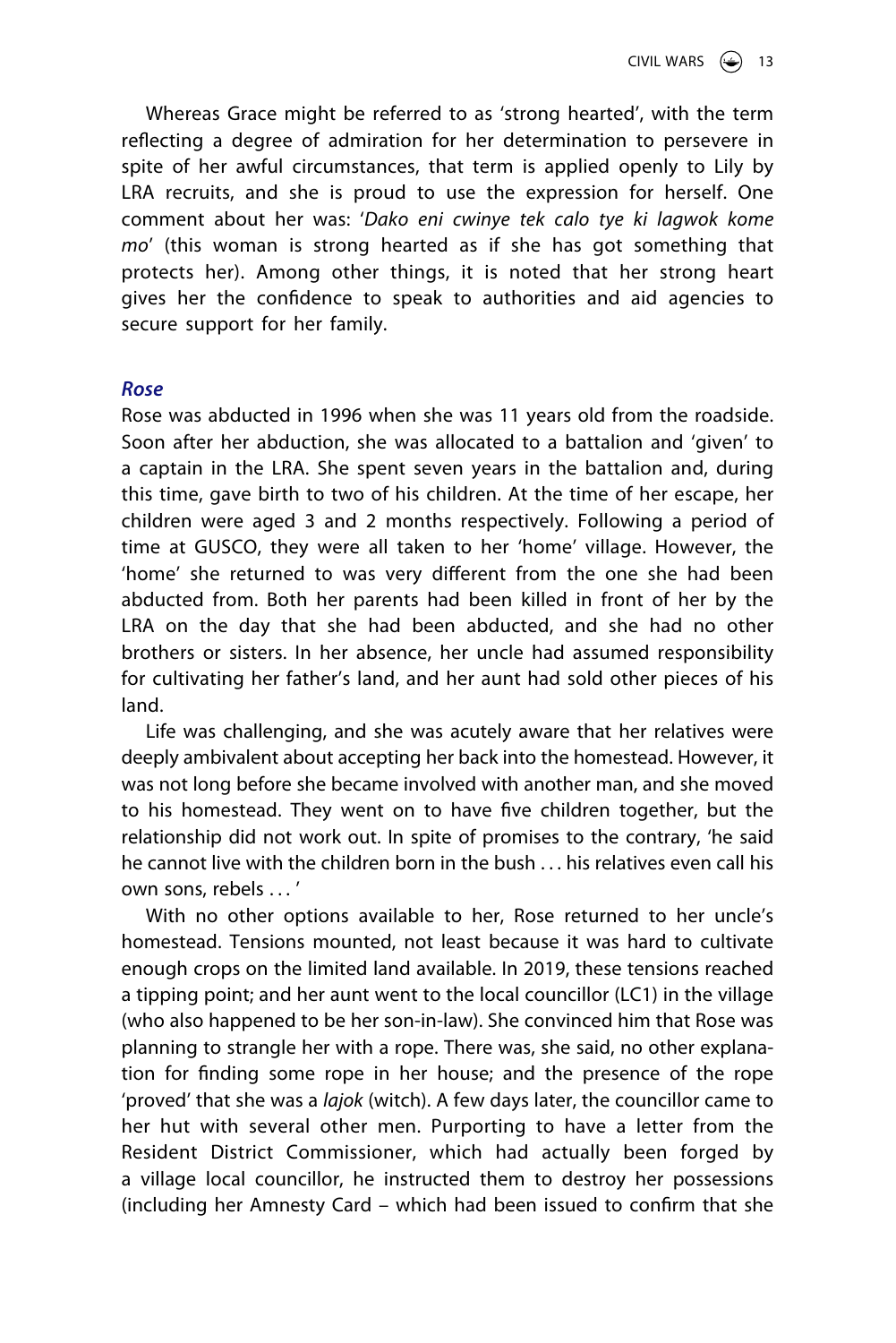Whereas Grace might be referred to as 'strong hearted', with the term reflecting a degree of admiration for her determination to persevere in spite of her awful circumstances, that term is applied openly to Lily by LRA recruits, and she is proud to use the expression for herself. One comment about her was: '*Dako eni cwinye tek calo tye ki lagwok kome mo*' (this woman is strong hearted as if she has got something that protects her). Among other things, it is noted that her strong heart gives her the confidence to speak to authorities and aid agencies to secure support for her family.

#### *Rose*

Rose was abducted in 1996 when she was 11 years old from the roadside. Soon after her abduction, she was allocated to a battalion and 'given' to a captain in the LRA. She spent seven years in the battalion and, during this time, gave birth to two of his children. At the time of her escape, her children were aged 3 and 2 months respectively. Following a period of time at GUSCO, they were all taken to her 'home' village. However, the 'home' she returned to was very different from the one she had been abducted from. Both her parents had been killed in front of her by the LRA on the day that she had been abducted, and she had no other brothers or sisters. In her absence, her uncle had assumed responsibility for cultivating her father's land, and her aunt had sold other pieces of his land.

Life was challenging, and she was acutely aware that her relatives were deeply ambivalent about accepting her back into the homestead. However, it was not long before she became involved with another man, and she moved to his homestead. They went on to have five children together, but the relationship did not work out. In spite of promises to the contrary, 'he said he cannot live with the children born in the bush . . . his relatives even call his own sons, rebels . . . '

With no other options available to her, Rose returned to her uncle's homestead. Tensions mounted, not least because it was hard to cultivate enough crops on the limited land available. In 2019, these tensions reached a tipping point; and her aunt went to the local councillor (LC1) in the village (who also happened to be her son-in-law). She convinced him that Rose was planning to strangle her with a rope. There was, she said, no other explanation for finding some rope in her house; and the presence of the rope 'proved' that she was a *lajok* (witch). A few days later, the councillor came to her hut with several other men. Purporting to have a letter from the Resident District Commissioner, which had actually been forged by a village local councillor, he instructed them to destroy her possessions (including her Amnesty Card – which had been issued to confirm that she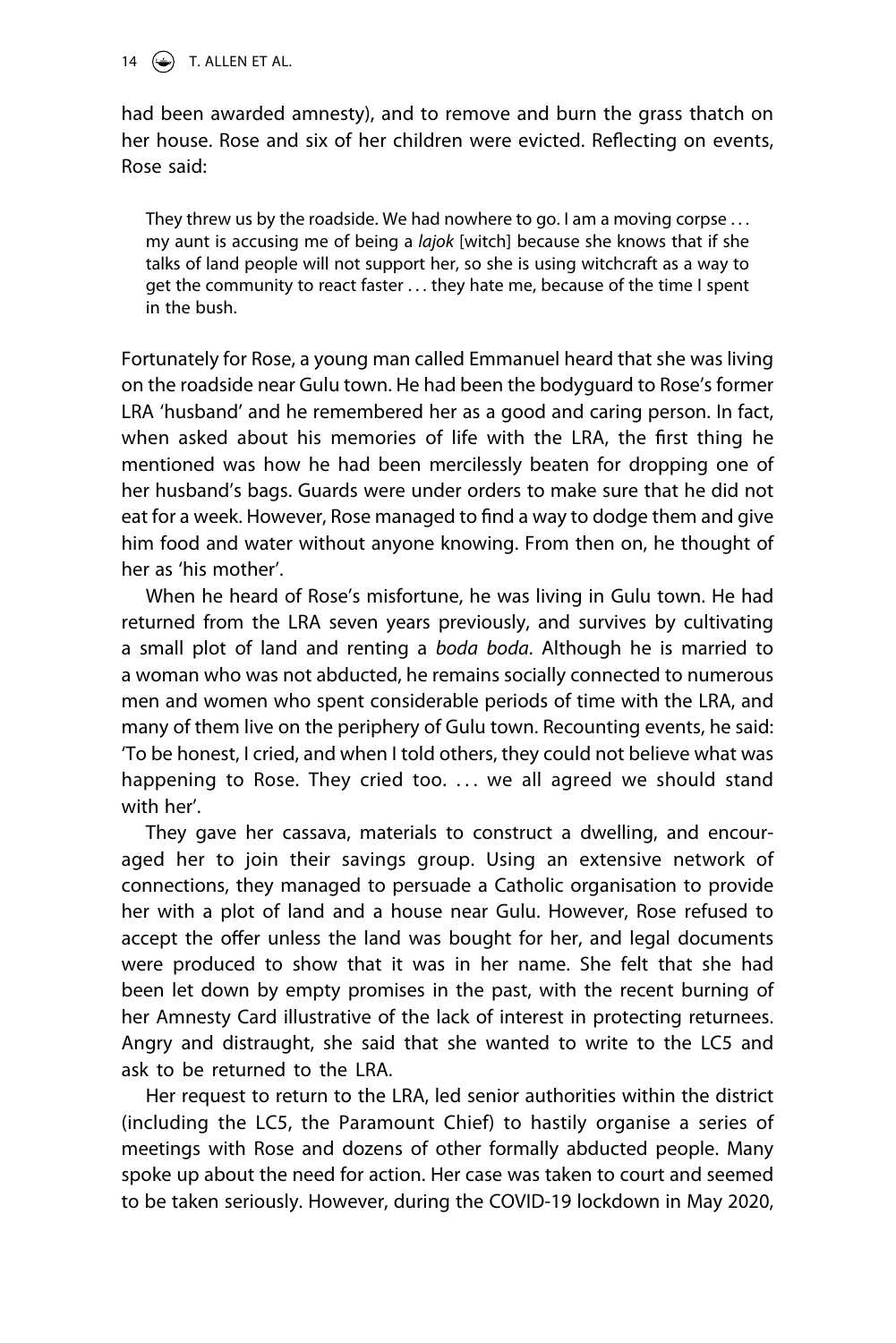14  $\bigodot$  T. ALLEN ET AL.

had been awarded amnesty), and to remove and burn the grass thatch on her house. Rose and six of her children were evicted. Reflecting on events, Rose said:

They threw us by the roadside. We had nowhere to go. I am a moving corpse . . . my aunt is accusing me of being a *lajok* [witch] because she knows that if she talks of land people will not support her, so she is using witchcraft as a way to get the community to react faster . . . they hate me, because of the time I spent in the bush.

Fortunately for Rose, a young man called Emmanuel heard that she was living on the roadside near Gulu town. He had been the bodyguard to Rose's former LRA 'husband' and he remembered her as a good and caring person. In fact, when asked about his memories of life with the LRA, the first thing he mentioned was how he had been mercilessly beaten for dropping one of her husband's bags. Guards were under orders to make sure that he did not eat for a week. However, Rose managed to find a way to dodge them and give him food and water without anyone knowing. From then on, he thought of her as 'his mother'.

When he heard of Rose's misfortune, he was living in Gulu town. He had returned from the LRA seven years previously, and survives by cultivating a small plot of land and renting a *boda boda*. Although he is married to a woman who was not abducted, he remains socially connected to numerous men and women who spent considerable periods of time with the LRA, and many of them live on the periphery of Gulu town. Recounting events, he said: 'To be honest, I cried, and when I told others, they could not believe what was happening to Rose. They cried too. ... we all agreed we should stand with her'.

They gave her cassava, materials to construct a dwelling, and encouraged her to join their savings group. Using an extensive network of connections, they managed to persuade a Catholic organisation to provide her with a plot of land and a house near Gulu. However, Rose refused to accept the offer unless the land was bought for her, and legal documents were produced to show that it was in her name. She felt that she had been let down by empty promises in the past, with the recent burning of her Amnesty Card illustrative of the lack of interest in protecting returnees. Angry and distraught, she said that she wanted to write to the LC5 and ask to be returned to the LRA.

Her request to return to the LRA, led senior authorities within the district (including the LC5, the Paramount Chief) to hastily organise a series of meetings with Rose and dozens of other formally abducted people. Many spoke up about the need for action. Her case was taken to court and seemed to be taken seriously. However, during the COVID-19 lockdown in May 2020,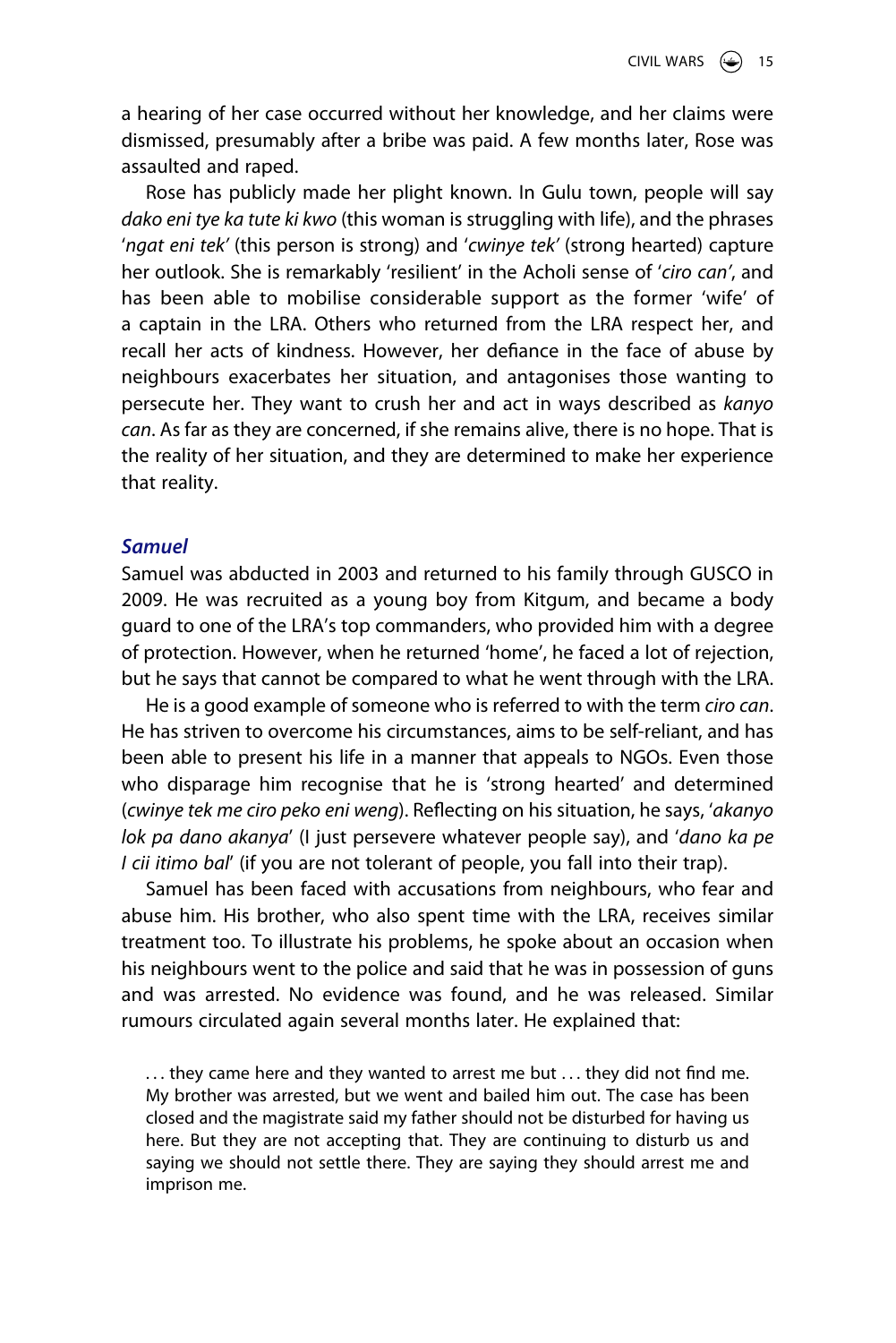a hearing of her case occurred without her knowledge, and her claims were dismissed, presumably after a bribe was paid. A few months later, Rose was assaulted and raped.

Rose has publicly made her plight known. In Gulu town, people will say *dako eni tye ka tute ki kwo* (this woman is struggling with life), and the phrases '*ngat eni tek'* (this person is strong) and '*cwinye tek'* (strong hearted) capture her outlook. She is remarkably 'resilient' in the Acholi sense of '*ciro can'*, and has been able to mobilise considerable support as the former 'wife' of a captain in the LRA. Others who returned from the LRA respect her, and recall her acts of kindness. However, her defiance in the face of abuse by neighbours exacerbates her situation, and antagonises those wanting to persecute her. They want to crush her and act in ways described as *kanyo can*. As far as they are concerned, if she remains alive, there is no hope. That is the reality of her situation, and they are determined to make her experience that reality.

# *Samuel*

Samuel was abducted in 2003 and returned to his family through GUSCO in 2009. He was recruited as a young boy from Kitgum, and became a body guard to one of the LRA's top commanders, who provided him with a degree of protection. However, when he returned 'home', he faced a lot of rejection, but he says that cannot be compared to what he went through with the LRA.

He is a good example of someone who is referred to with the term *ciro can*. He has striven to overcome his circumstances, aims to be self-reliant, and has been able to present his life in a manner that appeals to NGOs. Even those who disparage him recognise that he is 'strong hearted' and determined (*cwinye tek me ciro peko eni weng*). Reflecting on his situation, he says, '*akanyo lok pa dano akanya*' (I just persevere whatever people say), and '*dano ka pe I cii itimo bal*' (if you are not tolerant of people, you fall into their trap).

Samuel has been faced with accusations from neighbours, who fear and abuse him. His brother, who also spent time with the LRA, receives similar treatment too. To illustrate his problems, he spoke about an occasion when his neighbours went to the police and said that he was in possession of guns and was arrested. No evidence was found, and he was released. Similar rumours circulated again several months later. He explained that:

... they came here and they wanted to arrest me but ... they did not find me. My brother was arrested, but we went and bailed him out. The case has been closed and the magistrate said my father should not be disturbed for having us here. But they are not accepting that. They are continuing to disturb us and saying we should not settle there. They are saying they should arrest me and imprison me.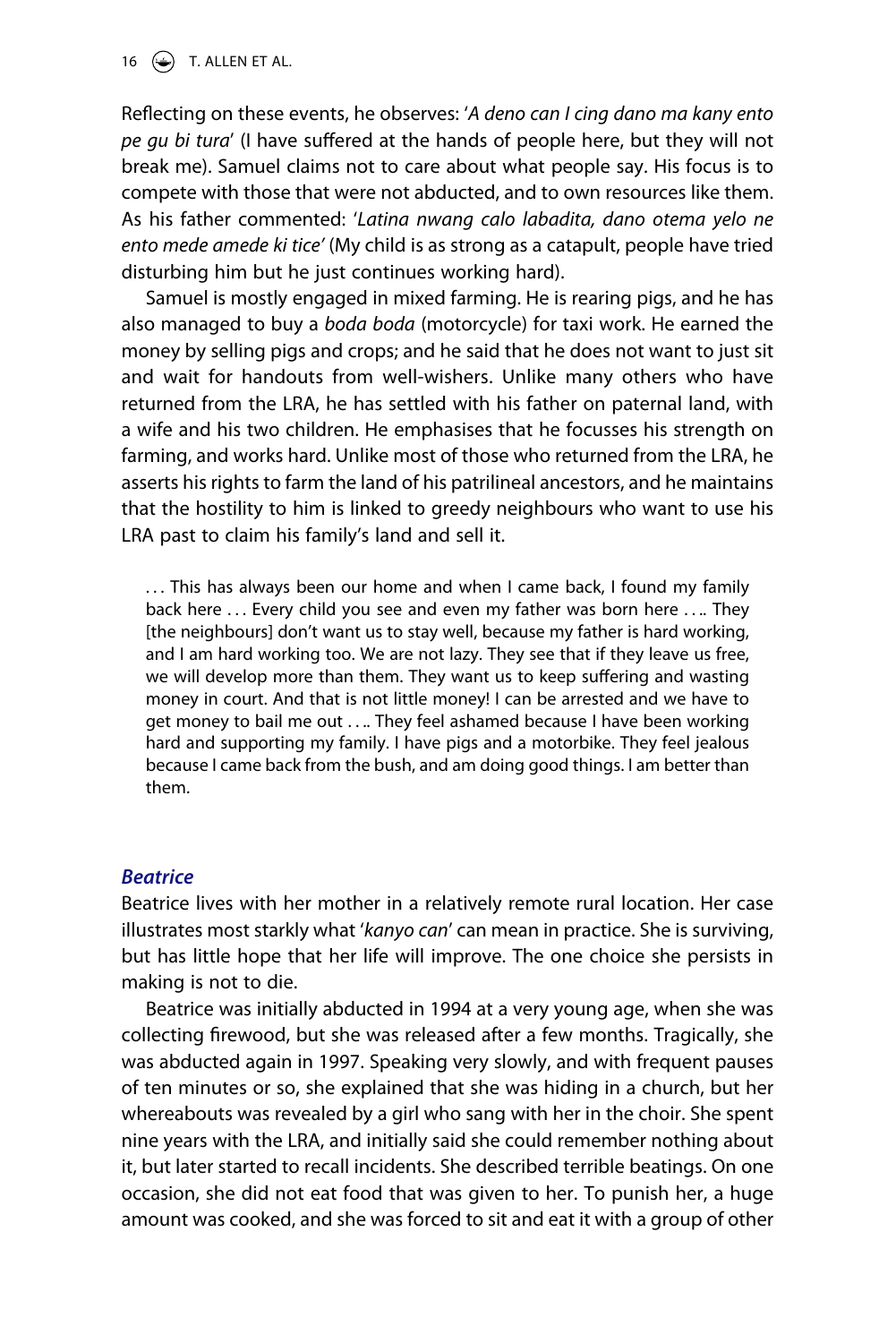16  $\left(\frac{1}{2}\right)$  T. ALLEN ET AL.

Reflecting on these events, he observes: '*A deno can I cing dano ma kany ento pe gu bi tura*' (I have suffered at the hands of people here, but they will not break me). Samuel claims not to care about what people say. His focus is to compete with those that were not abducted, and to own resources like them. As his father commented: '*Latina nwang calo labadita, dano otema yelo ne ento mede amede ki tice'* (My child is as strong as a catapult, people have tried disturbing him but he just continues working hard).

Samuel is mostly engaged in mixed farming. He is rearing pigs, and he has also managed to buy a *boda boda* (motorcycle) for taxi work. He earned the money by selling pigs and crops; and he said that he does not want to just sit and wait for handouts from well-wishers. Unlike many others who have returned from the LRA, he has settled with his father on paternal land, with a wife and his two children. He emphasises that he focusses his strength on farming, and works hard. Unlike most of those who returned from the LRA, he asserts his rights to farm the land of his patrilineal ancestors, and he maintains that the hostility to him is linked to greedy neighbours who want to use his LRA past to claim his family's land and sell it.

... This has always been our home and when I came back, I found my family back here ... Every child you see and even my father was born here .... They [the neighbours] don't want us to stay well, because my father is hard working, and I am hard working too. We are not lazy. They see that if they leave us free, we will develop more than them. They want us to keep suffering and wasting money in court. And that is not little money! I can be arrested and we have to get money to bail me out . . .. They feel ashamed because I have been working hard and supporting my family. I have pigs and a motorbike. They feel jealous because I came back from the bush, and am doing good things. I am better than them.

#### *Beatrice*

Beatrice lives with her mother in a relatively remote rural location. Her case illustrates most starkly what '*kanyo can*' can mean in practice. She is surviving, but has little hope that her life will improve. The one choice she persists in making is not to die.

Beatrice was initially abducted in 1994 at a very young age, when she was collecting firewood, but she was released after a few months. Tragically, she was abducted again in 1997. Speaking very slowly, and with frequent pauses of ten minutes or so, she explained that she was hiding in a church, but her whereabouts was revealed by a girl who sang with her in the choir. She spent nine years with the LRA, and initially said she could remember nothing about it, but later started to recall incidents. She described terrible beatings. On one occasion, she did not eat food that was given to her. To punish her, a huge amount was cooked, and she was forced to sit and eat it with a group of other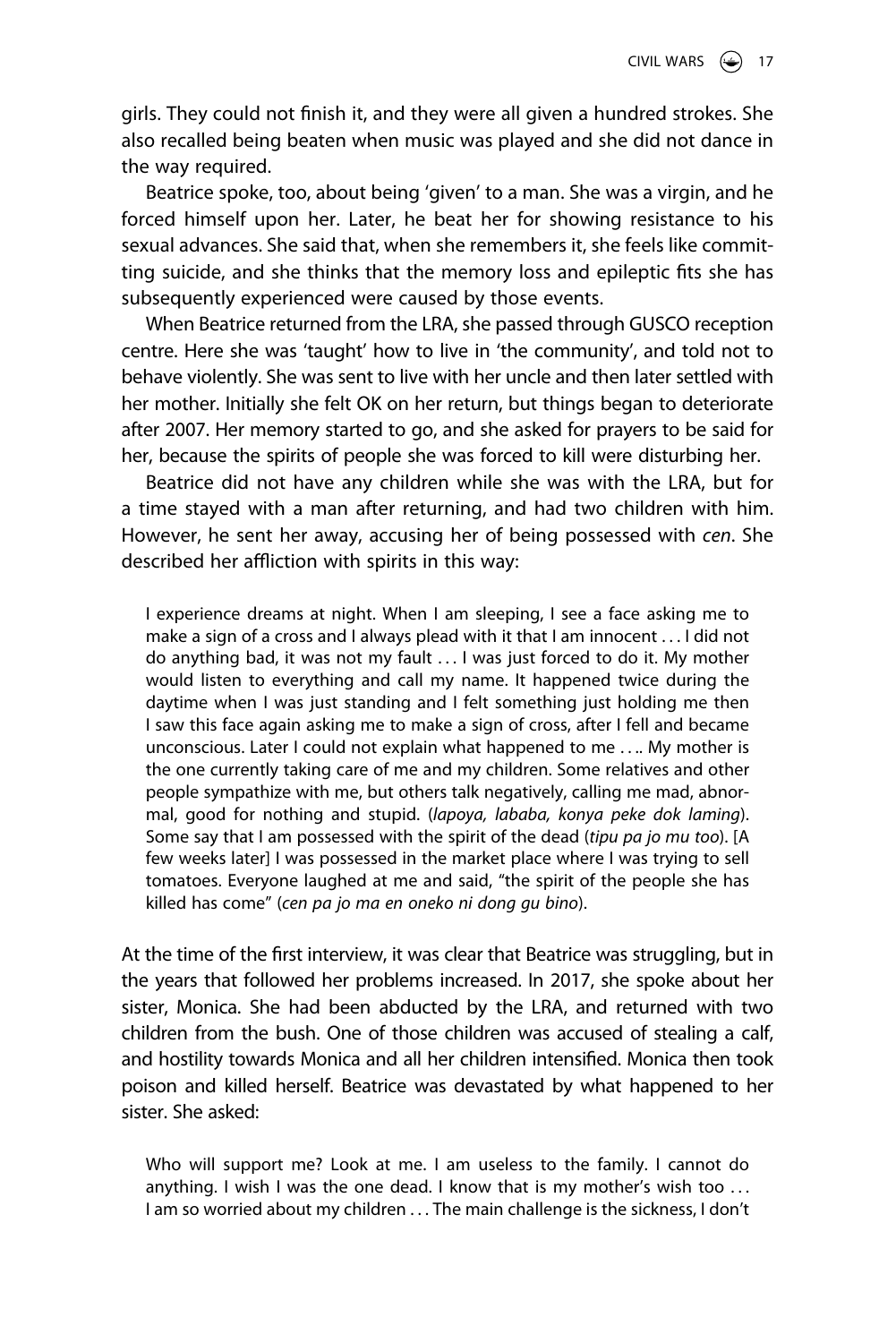girls. They could not finish it, and they were all given a hundred strokes. She also recalled being beaten when music was played and she did not dance in the way required.

Beatrice spoke, too, about being 'given' to a man. She was a virgin, and he forced himself upon her. Later, he beat her for showing resistance to his sexual advances. She said that, when she remembers it, she feels like committing suicide, and she thinks that the memory loss and epileptic fits she has subsequently experienced were caused by those events.

When Beatrice returned from the LRA, she passed through GUSCO reception centre. Here she was 'taught' how to live in 'the community', and told not to behave violently. She was sent to live with her uncle and then later settled with her mother. Initially she felt OK on her return, but things began to deteriorate after 2007. Her memory started to go, and she asked for prayers to be said for her, because the spirits of people she was forced to kill were disturbing her.

Beatrice did not have any children while she was with the LRA, but for a time stayed with a man after returning, and had two children with him. However, he sent her away, accusing her of being possessed with *cen*. She described her affliction with spirits in this way:

I experience dreams at night. When I am sleeping, I see a face asking me to make a sign of a cross and I always plead with it that I am innocent . . . I did not do anything bad, it was not my fault . . . I was just forced to do it. My mother would listen to everything and call my name. It happened twice during the daytime when I was just standing and I felt something just holding me then I saw this face again asking me to make a sign of cross, after I fell and became unconscious. Later I could not explain what happened to me . . .. My mother is the one currently taking care of me and my children. Some relatives and other people sympathize with me, but others talk negatively, calling me mad, abnormal, good for nothing and stupid. (*lapoya, lababa, konya peke dok laming*). Some say that I am possessed with the spirit of the dead (*tipu pa jo mu too*). [A few weeks later] I was possessed in the market place where I was trying to sell tomatoes. Everyone laughed at me and said, "the spirit of the people she has killed has come" (*cen pa jo ma en oneko ni dong gu bino*).

At the time of the first interview, it was clear that Beatrice was struggling, but in the years that followed her problems increased. In 2017, she spoke about her sister, Monica. She had been abducted by the LRA, and returned with two children from the bush. One of those children was accused of stealing a calf, and hostility towards Monica and all her children intensified. Monica then took poison and killed herself. Beatrice was devastated by what happened to her sister. She asked:

Who will support me? Look at me. I am useless to the family. I cannot do anything. I wish I was the one dead. I know that is my mother's wish too . . . I am so worried about my children . . . The main challenge is the sickness, I don't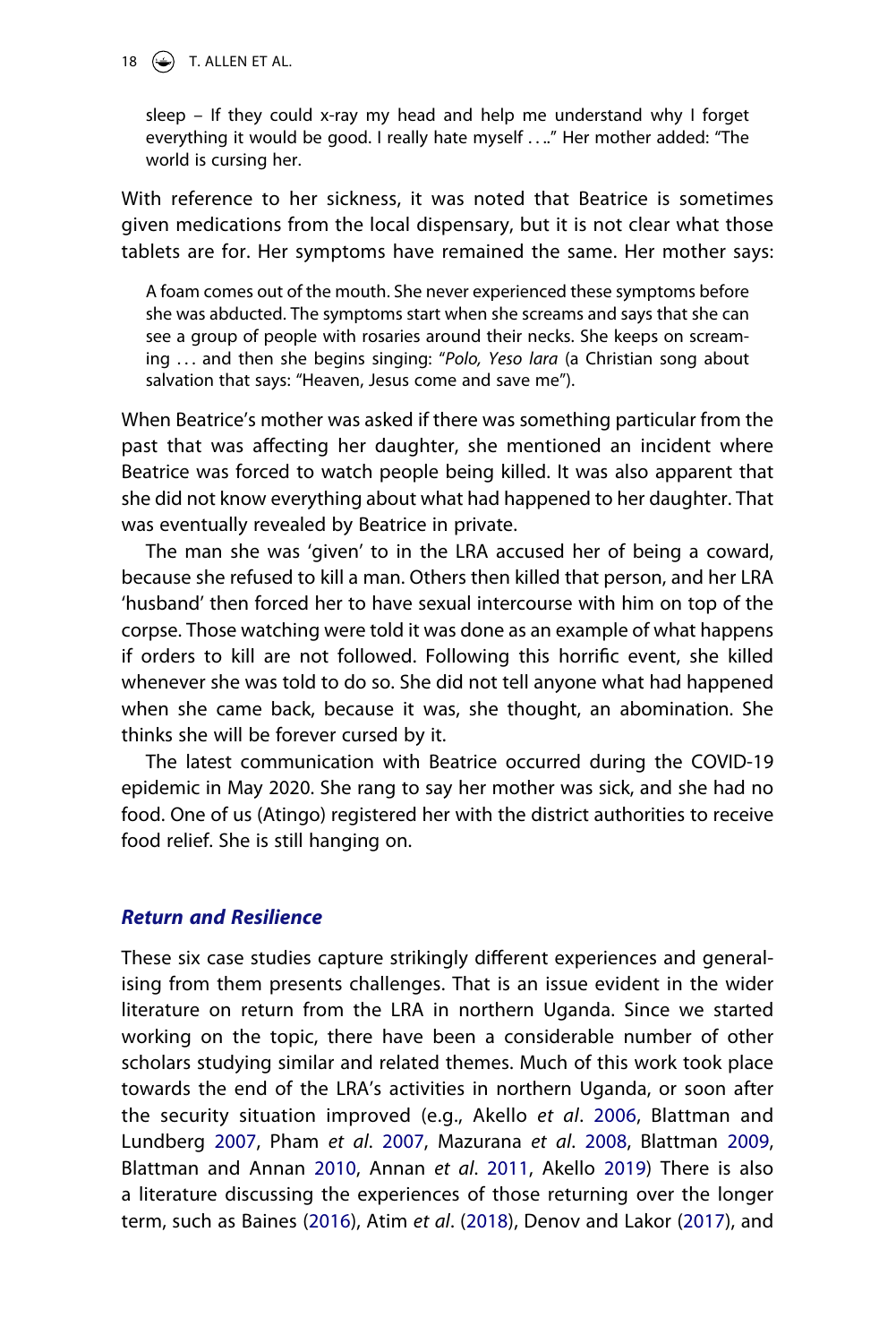18  $\bigodot$  T. ALLEN ET AL.

sleep – If they could x-ray my head and help me understand why I forget everything it would be good. I really hate myself . . .." Her mother added: "The world is cursing her.

With reference to her sickness, it was noted that Beatrice is sometimes given medications from the local dispensary, but it is not clear what those tablets are for. Her symptoms have remained the same. Her mother says:

A foam comes out of the mouth. She never experienced these symptoms before she was abducted. The symptoms start when she screams and says that she can see a group of people with rosaries around their necks. She keeps on screaming . . . and then she begins singing: "*Polo, Yeso lara* (a Christian song about salvation that says: "Heaven, Jesus come and save me").

When Beatrice's mother was asked if there was something particular from the past that was affecting her daughter, she mentioned an incident where Beatrice was forced to watch people being killed. It was also apparent that she did not know everything about what had happened to her daughter. That was eventually revealed by Beatrice in private.

The man she was 'given' to in the LRA accused her of being a coward, because she refused to kill a man. Others then killed that person, and her LRA 'husband' then forced her to have sexual intercourse with him on top of the corpse. Those watching were told it was done as an example of what happens if orders to kill are not followed. Following this horrific event, she killed whenever she was told to do so. She did not tell anyone what had happened when she came back, because it was, she thought, an abomination. She thinks she will be forever cursed by it.

The latest communication with Beatrice occurred during the COVID-19 epidemic in May 2020. She rang to say her mother was sick, and she had no food. One of us (Atingo) registered her with the district authorities to receive food relief. She is still hanging on.

# *Return and Resilience*

<span id="page-18-3"></span><span id="page-18-2"></span><span id="page-18-1"></span><span id="page-18-0"></span>These six case studies capture strikingly different experiences and generalising from them presents challenges. That is an issue evident in the wider literature on return from the LRA in northern Uganda. Since we started working on the topic, there have been a considerable number of other scholars studying similar and related themes. Much of this work took place towards the end of the LRA's activities in northern Uganda, or soon after the security situation improved (e.g., Akello *et al*. [2006,](#page-24-3) Blattman and Lundberg [2007,](#page-25-13) Pham *et al*. [2007,](#page-27-11) Mazurana *et al*. [2008,](#page-27-12) Blattman [2009](#page-25-14), Blattman and Annan [2010](#page-25-15), Annan *et al*. [2011](#page-25-16), Akello [2019](#page-24-2)) There is also a literature discussing the experiences of those returning over the longer term, such as Baines ([2016](#page-26-14)), Atim *et al*. [\(2018](#page-25-17)), Denov and Lakor [\(2017](#page-26-15)), and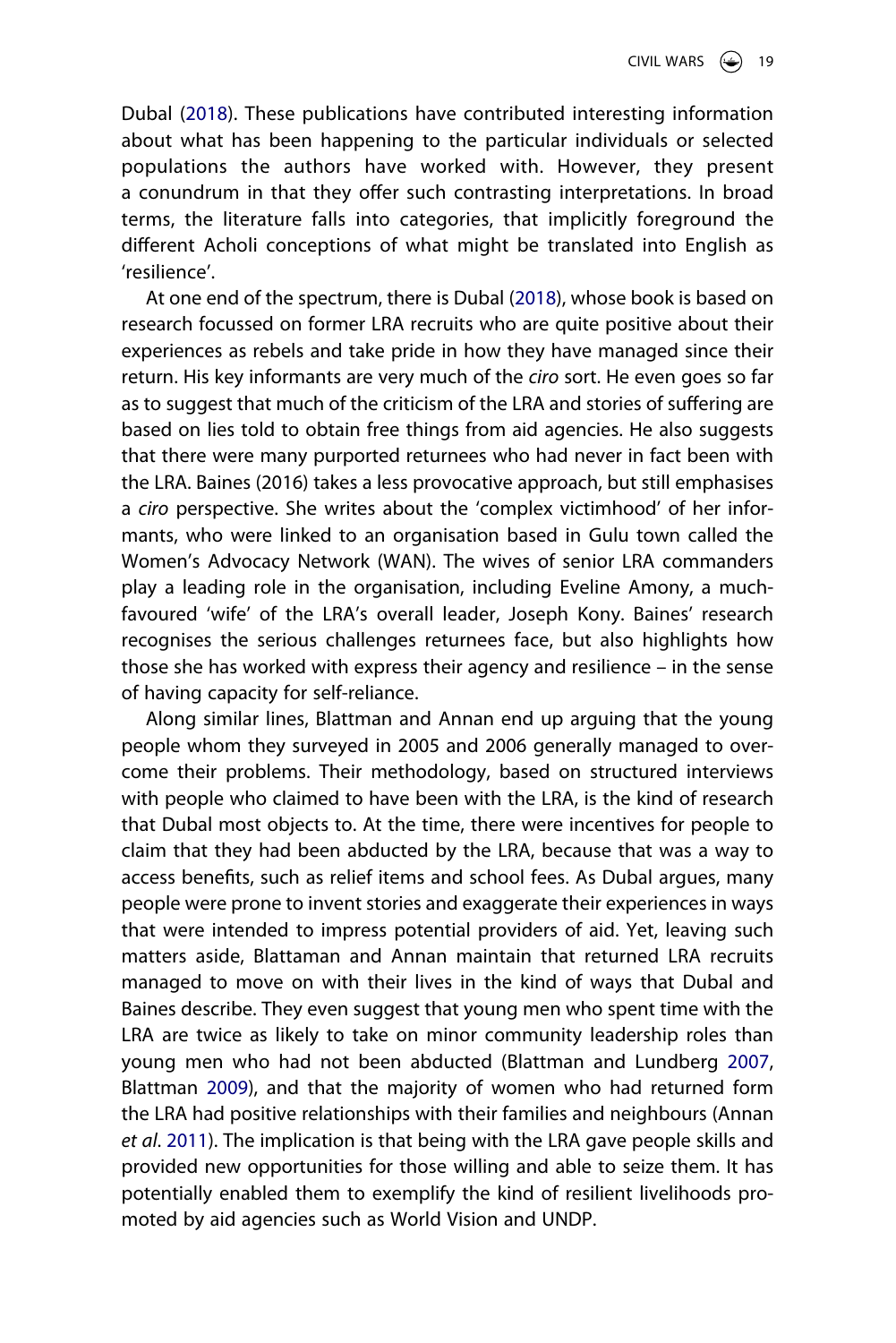Dubal ([2018](#page-26-16)). These publications have contributed interesting information about what has been happening to the particular individuals or selected populations the authors have worked with. However, they present a conundrum in that they offer such contrasting interpretations. In broad terms, the literature falls into categories, that implicitly foreground the different Acholi conceptions of what might be translated into English as 'resilience'.

<span id="page-19-0"></span>At one end of the spectrum, there is Dubal [\(2018\)](#page-26-16), whose book is based on research focussed on former LRA recruits who are quite positive about their experiences as rebels and take pride in how they have managed since their return. His key informants are very much of the *ciro* sort. He even goes so far as to suggest that much of the criticism of the LRA and stories of suffering are based on lies told to obtain free things from aid agencies. He also suggests that there were many purported returnees who had never in fact been with the LRA. Baines (2016) takes a less provocative approach, but still emphasises a *ciro* perspective. She writes about the 'complex victimhood' of her informants, who were linked to an organisation based in Gulu town called the Women's Advocacy Network (WAN). The wives of senior LRA commanders play a leading role in the organisation, including Eveline Amony, a muchfavoured 'wife' of the LRA's overall leader, Joseph Kony. Baines' research recognises the serious challenges returnees face, but also highlights how those she has worked with express their agency and resilience – in the sense of having capacity for self-reliance.

Along similar lines, Blattman and Annan end up arguing that the young people whom they surveyed in 2005 and 2006 generally managed to overcome their problems. Their methodology, based on structured interviews with people who claimed to have been with the LRA, is the kind of research that Dubal most objects to. At the time, there were incentives for people to claim that they had been abducted by the LRA, because that was a way to access benefits, such as relief items and school fees. As Dubal argues, many people were prone to invent stories and exaggerate their experiences in ways that were intended to impress potential providers of aid. Yet, leaving such matters aside, Blattaman and Annan maintain that returned LRA recruits managed to move on with their lives in the kind of ways that Dubal and Baines describe. They even suggest that young men who spent time with the LRA are twice as likely to take on minor community leadership roles than young men who had not been abducted (Blattman and Lundberg [2007](#page-25-13), Blattman [2009\)](#page-25-14), and that the majority of women who had returned form the LRA had positive relationships with their families and neighbours (Annan *et al*. [2011\)](#page-25-16). The implication is that being with the LRA gave people skills and provided new opportunities for those willing and able to seize them. It has potentially enabled them to exemplify the kind of resilient livelihoods promoted by aid agencies such as World Vision and UNDP.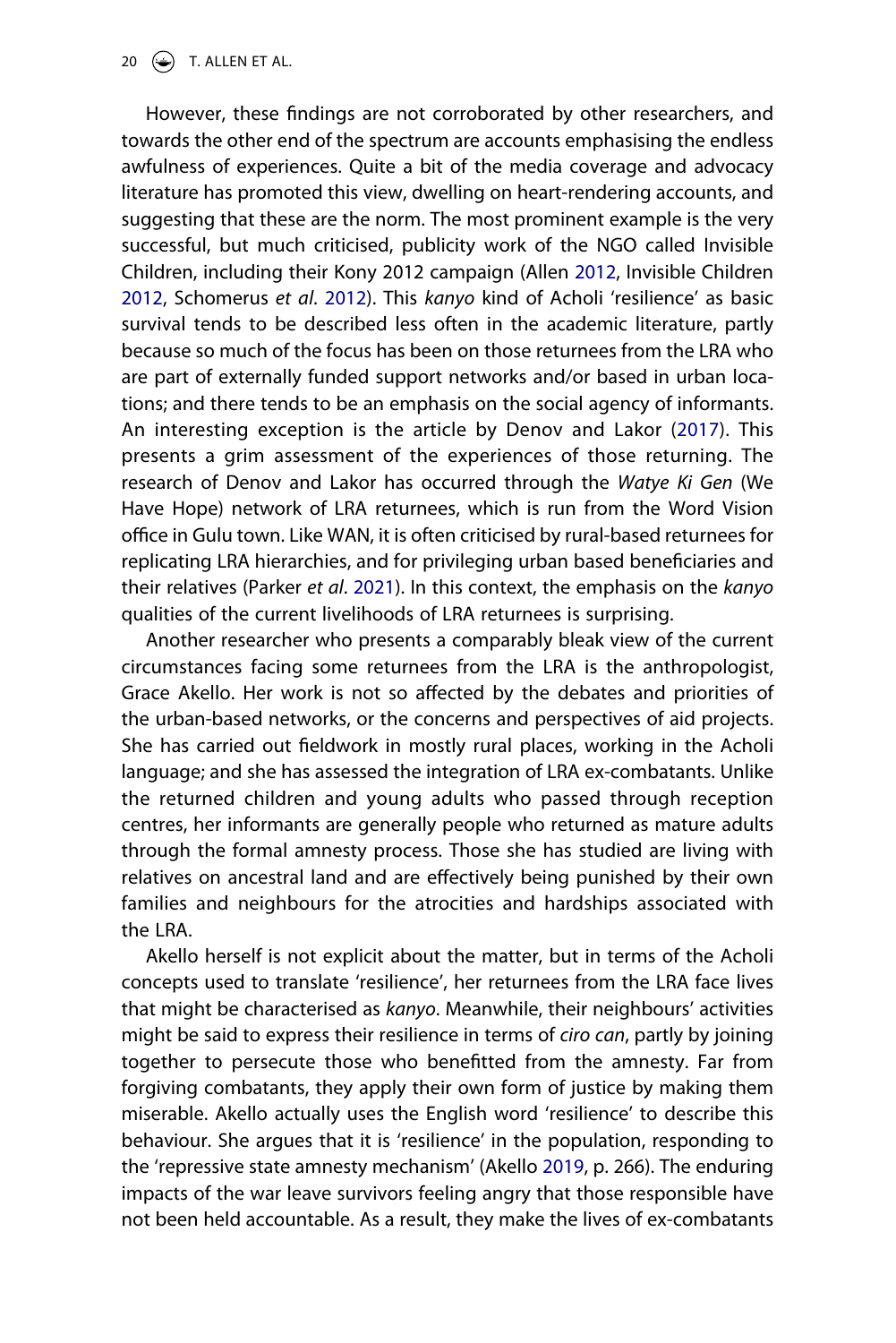20  $\left(\rightarrow\right)$  T. ALLEN ET AL.

<span id="page-20-1"></span><span id="page-20-0"></span>However, these findings are not corroborated by other researchers, and towards the other end of the spectrum are accounts emphasising the endless awfulness of experiences. Quite a bit of the media coverage and advocacy literature has promoted this view, dwelling on heart-rendering accounts, and suggesting that these are the norm. The most prominent example is the very successful, but much criticised, publicity work of the NGO called Invisible Children, including their Kony 2012 campaign (Allen [2012](#page-27-13), Invisible Children [2012,](#page-26-17) Schomerus *et al*. [2012](#page-27-14)). This *kanyo* kind of Acholi 'resilience' as basic survival tends to be described less often in the academic literature, partly because so much of the focus has been on those returnees from the LRA who are part of externally funded support networks and/or based in urban locations; and there tends to be an emphasis on the social agency of informants. An interesting exception is the article by Denov and Lakor [\(2017](#page-26-15)). This presents a grim assessment of the experiences of those returning. The research of Denov and Lakor has occurred through the *Watye Ki Gen* (We Have Hope) network of LRA returnees, which is run from the Word Vision office in Gulu town. Like WAN, it is often criticised by rural-based returnees for replicating LRA hierarchies, and for privileging urban based beneficiaries and their relatives (Parker *et al*. [2021](#page-27-5)). In this context, the emphasis on the *kanyo*  qualities of the current livelihoods of LRA returnees is surprising.

Another researcher who presents a comparably bleak view of the current circumstances facing some returnees from the LRA is the anthropologist, Grace Akello. Her work is not so affected by the debates and priorities of the urban-based networks, or the concerns and perspectives of aid projects. She has carried out fieldwork in mostly rural places, working in the Acholi language; and she has assessed the integration of LRA ex-combatants. Unlike the returned children and young adults who passed through reception centres, her informants are generally people who returned as mature adults through the formal amnesty process. Those she has studied are living with relatives on ancestral land and are effectively being punished by their own families and neighbours for the atrocities and hardships associated with the LRA.

Akello herself is not explicit about the matter, but in terms of the Acholi concepts used to translate 'resilience', her returnees from the LRA face lives that might be characterised as *kanyo*. Meanwhile, their neighbours' activities might be said to express their resilience in terms of *ciro can*, partly by joining together to persecute those who benefitted from the amnesty. Far from forgiving combatants, they apply their own form of justice by making them miserable. Akello actually uses the English word 'resilience' to describe this behaviour. She argues that it is 'resilience' in the population, responding to the 'repressive state amnesty mechanism' (Akello [2019,](#page-24-2) p. 266). The enduring impacts of the war leave survivors feeling angry that those responsible have not been held accountable. As a result, they make the lives of ex-combatants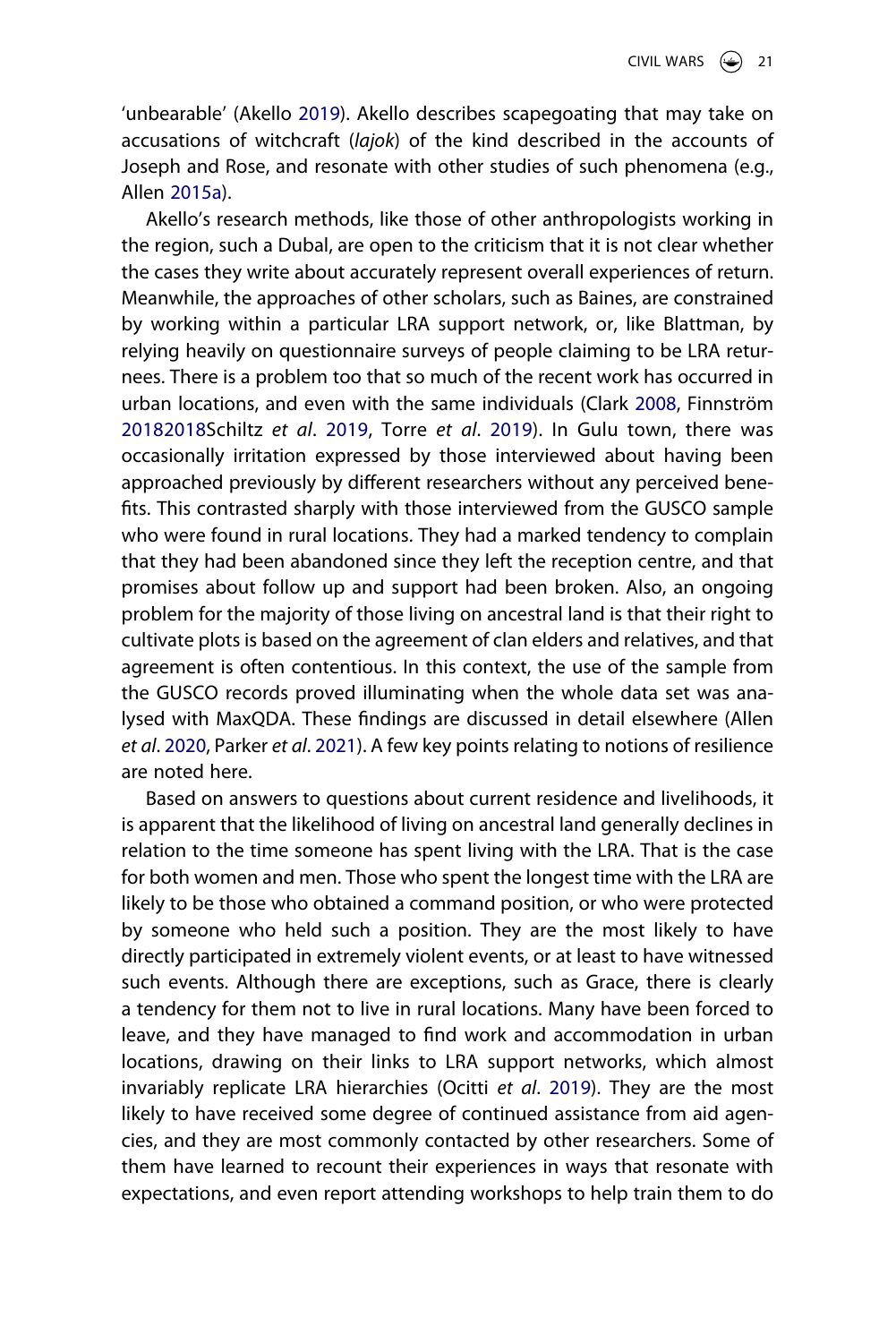'unbearable' (Akello [2019\)](#page-24-2). Akello describes scapegoating that may take on accusations of witchcraft (*lajok*) of the kind described in the accounts of Joseph and Rose, and resonate with other studies of such phenomena (e.g., Allen [2015a\)](#page-25-9).

<span id="page-21-2"></span><span id="page-21-0"></span>Akello's research methods, like those of other anthropologists working in the region, such a Dubal, are open to the criticism that it is not clear whether the cases they write about accurately represent overall experiences of return. Meanwhile, the approaches of other scholars, such as Baines, are constrained by working within a particular LRA support network, or, like Blattman, by relying heavily on questionnaire surveys of people claiming to be LRA returnees. There is a problem too that so much of the recent work has occurred in urban locations, and even with the same individuals (Clark [2008](#page-25-18), Finnström [20182018S](#page-27-15)chiltz *et al*. [2019,](#page-27-7) Torre *et al*. [2019](#page-27-16)). In Gulu town, there was occasionally irritation expressed by those interviewed about having been approached previously by different researchers without any perceived benefits. This contrasted sharply with those interviewed from the GUSCO sample who were found in rural locations. They had a marked tendency to complain that they had been abandoned since they left the reception centre, and that promises about follow up and support had been broken. Also, an ongoing problem for the majority of those living on ancestral land is that their right to cultivate plots is based on the agreement of clan elders and relatives, and that agreement is often contentious. In this context, the use of the sample from the GUSCO records proved illuminating when the whole data set was analysed with MaxQDA. These findings are discussed in detail elsewhere (Allen *et al*. [2020,](#page-25-3) Parker *et al*. [2021](#page-27-5)). A few key points relating to notions of resilience are noted here.

<span id="page-21-1"></span>Based on answers to questions about current residence and livelihoods, it is apparent that the likelihood of living on ancestral land generally declines in relation to the time someone has spent living with the LRA. That is the case for both women and men. Those who spent the longest time with the LRA are likely to be those who obtained a command position, or who were protected by someone who held such a position. They are the most likely to have directly participated in extremely violent events, or at least to have witnessed such events. Although there are exceptions, such as Grace, there is clearly a tendency for them not to live in rural locations. Many have been forced to leave, and they have managed to find work and accommodation in urban locations, drawing on their links to LRA support networks, which almost invariably replicate LRA hierarchies (Ocitti *et al*. [2019\)](#page-27-17). They are the most likely to have received some degree of continued assistance from aid agencies, and they are most commonly contacted by other researchers. Some of them have learned to recount their experiences in ways that resonate with expectations, and even report attending workshops to help train them to do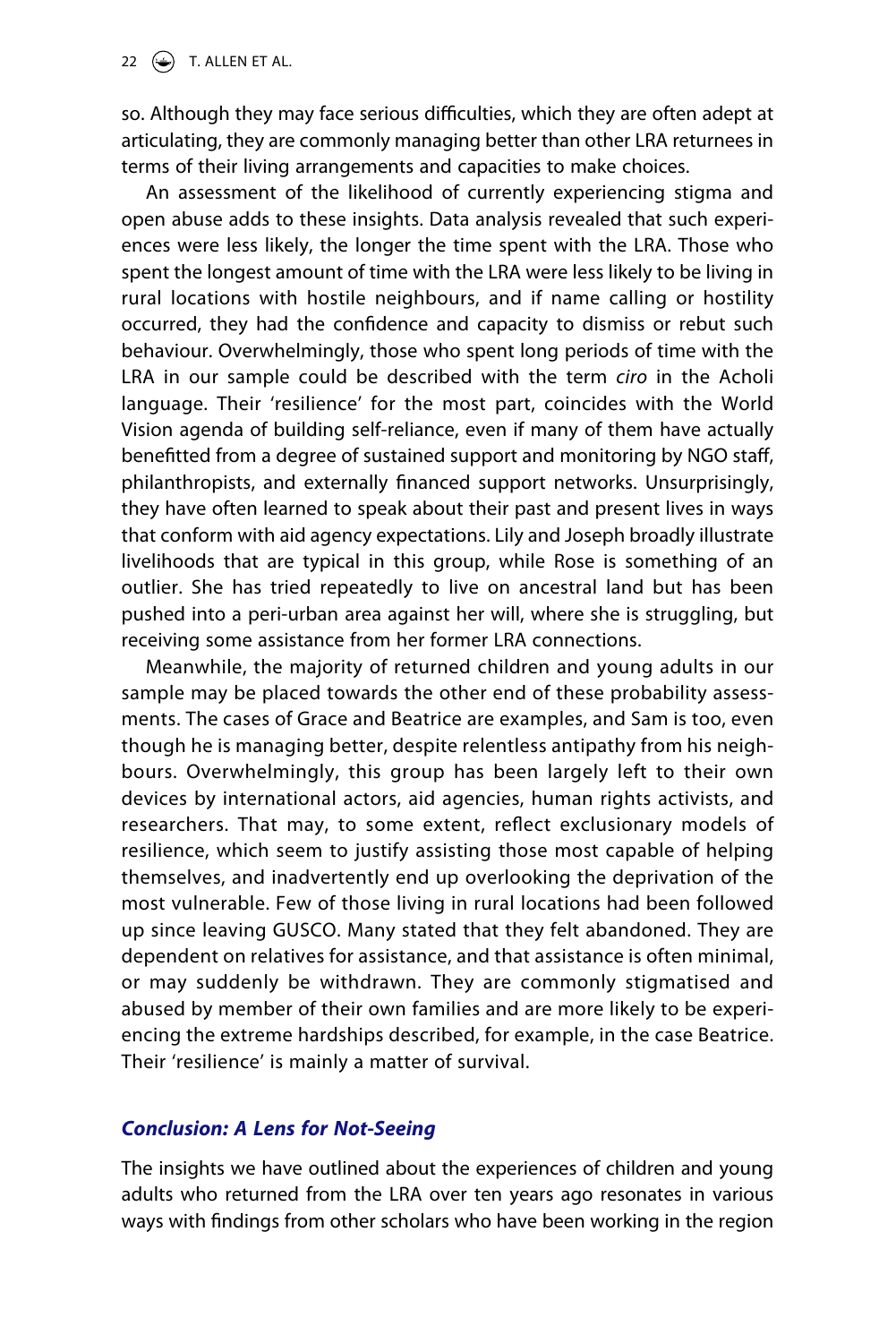so. Although they may face serious difficulties, which they are often adept at articulating, they are commonly managing better than other LRA returnees in terms of their living arrangements and capacities to make choices.

An assessment of the likelihood of currently experiencing stigma and open abuse adds to these insights. Data analysis revealed that such experiences were less likely, the longer the time spent with the LRA. Those who spent the longest amount of time with the LRA were less likely to be living in rural locations with hostile neighbours, and if name calling or hostility occurred, they had the confidence and capacity to dismiss or rebut such behaviour. Overwhelmingly, those who spent long periods of time with the LRA in our sample could be described with the term *ciro* in the Acholi language. Their 'resilience' for the most part, coincides with the World Vision agenda of building self-reliance, even if many of them have actually benefitted from a degree of sustained support and monitoring by NGO staff, philanthropists, and externally financed support networks. Unsurprisingly, they have often learned to speak about their past and present lives in ways that conform with aid agency expectations. Lily and Joseph broadly illustrate livelihoods that are typical in this group, while Rose is something of an outlier. She has tried repeatedly to live on ancestral land but has been pushed into a peri-urban area against her will, where she is struggling, but receiving some assistance from her former LRA connections.

Meanwhile, the majority of returned children and young adults in our sample may be placed towards the other end of these probability assessments. The cases of Grace and Beatrice are examples, and Sam is too, even though he is managing better, despite relentless antipathy from his neighbours. Overwhelmingly, this group has been largely left to their own devices by international actors, aid agencies, human rights activists, and researchers. That may, to some extent, reflect exclusionary models of resilience, which seem to justify assisting those most capable of helping themselves, and inadvertently end up overlooking the deprivation of the most vulnerable. Few of those living in rural locations had been followed up since leaving GUSCO. Many stated that they felt abandoned. They are dependent on relatives for assistance, and that assistance is often minimal, or may suddenly be withdrawn. They are commonly stigmatised and abused by member of their own families and are more likely to be experiencing the extreme hardships described, for example, in the case Beatrice. Their 'resilience' is mainly a matter of survival.

# *Conclusion: A Lens for Not-Seeing*

The insights we have outlined about the experiences of children and young adults who returned from the LRA over ten years ago resonates in various ways with findings from other scholars who have been working in the region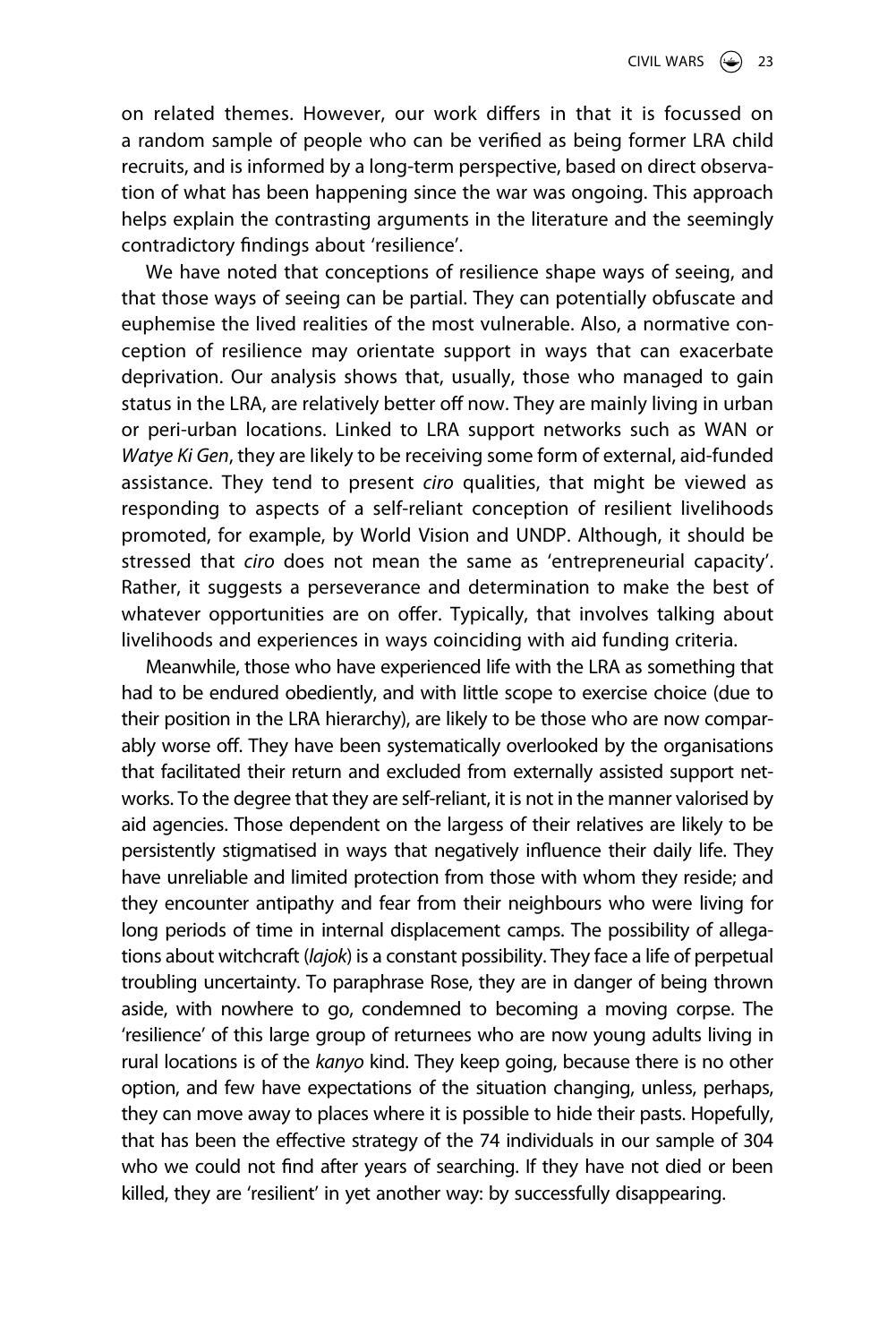on related themes. However, our work differs in that it is focussed on a random sample of people who can be verified as being former LRA child recruits, and is informed by a long-term perspective, based on direct observation of what has been happening since the war was ongoing. This approach helps explain the contrasting arguments in the literature and the seemingly contradictory findings about 'resilience'.

We have noted that conceptions of resilience shape ways of seeing, and that those ways of seeing can be partial. They can potentially obfuscate and euphemise the lived realities of the most vulnerable. Also, a normative conception of resilience may orientate support in ways that can exacerbate deprivation. Our analysis shows that, usually, those who managed to gain status in the LRA, are relatively better off now. They are mainly living in urban or peri-urban locations. Linked to LRA support networks such as WAN or *Watye Ki Gen*, they are likely to be receiving some form of external, aid-funded assistance. They tend to present *ciro* qualities, that might be viewed as responding to aspects of a self-reliant conception of resilient livelihoods promoted, for example, by World Vision and UNDP. Although, it should be stressed that *ciro* does not mean the same as 'entrepreneurial capacity'. Rather, it suggests a perseverance and determination to make the best of whatever opportunities are on offer. Typically, that involves talking about livelihoods and experiences in ways coinciding with aid funding criteria.

Meanwhile, those who have experienced life with the LRA as something that had to be endured obediently, and with little scope to exercise choice (due to their position in the LRA hierarchy), are likely to be those who are now comparably worse off. They have been systematically overlooked by the organisations that facilitated their return and excluded from externally assisted support networks. To the degree that they are self-reliant, it is not in the manner valorised by aid agencies. Those dependent on the largess of their relatives are likely to be persistently stigmatised in ways that negatively influence their daily life. They have unreliable and limited protection from those with whom they reside; and they encounter antipathy and fear from their neighbours who were living for long periods of time in internal displacement camps. The possibility of allegations about witchcraft (*lajok*) is a constant possibility. They face a life of perpetual troubling uncertainty. To paraphrase Rose, they are in danger of being thrown aside, with nowhere to go, condemned to becoming a moving corpse. The 'resilience' of this large group of returnees who are now young adults living in rural locations is of the *kanyo* kind. They keep going, because there is no other option, and few have expectations of the situation changing, unless, perhaps, they can move away to places where it is possible to hide their pasts. Hopefully, that has been the effective strategy of the 74 individuals in our sample of 304 who we could not find after years of searching. If they have not died or been killed, they are 'resilient' in yet another way: by successfully disappearing.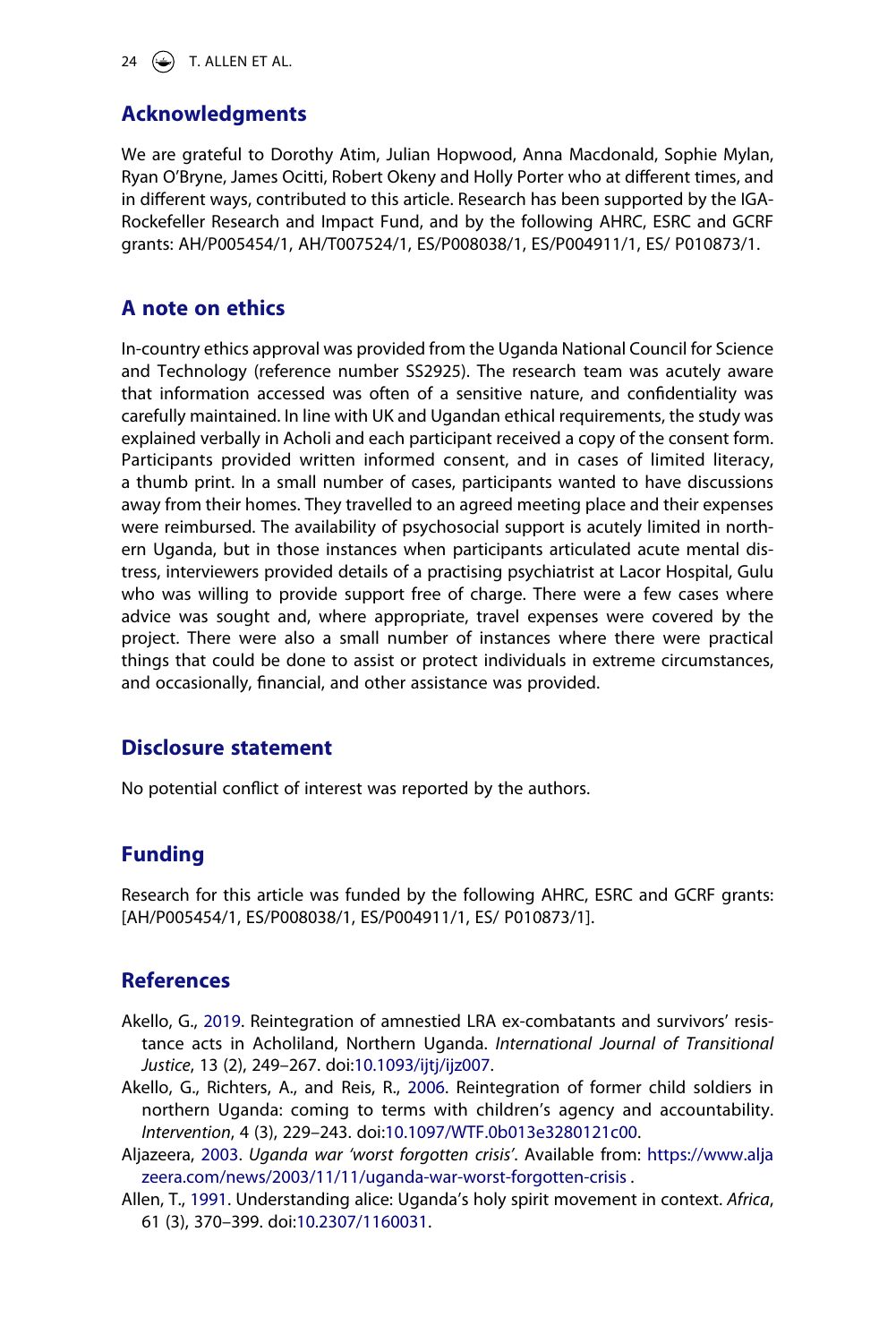24  $\left(\bigcirc\right)$  T. ALLEN ET AL.

# **Acknowledgments**

We are grateful to Dorothy Atim, Julian Hopwood, Anna Macdonald, Sophie Mylan, Ryan O'Bryne, James Ocitti, Robert Okeny and Holly Porter who at different times, and in different ways, contributed to this article. Research has been supported by the IGA-Rockefeller Research and Impact Fund, and by the following AHRC, ESRC and GCRF grants: AH/P005454/1, AH/T007524/1, ES/P008038/1, ES/P004911/1, ES/ P010873/1.

# **A note on ethics**

In-country ethics approval was provided from the Uganda National Council for Science and Technology (reference number SS2925). The research team was acutely aware that information accessed was often of a sensitive nature, and confidentiality was carefully maintained. In line with UK and Ugandan ethical requirements, the study was explained verbally in Acholi and each participant received a copy of the consent form. Participants provided written informed consent, and in cases of limited literacy, a thumb print. In a small number of cases, participants wanted to have discussions away from their homes. They travelled to an agreed meeting place and their expenses were reimbursed. The availability of psychosocial support is acutely limited in northern Uganda, but in those instances when participants articulated acute mental distress, interviewers provided details of a practising psychiatrist at Lacor Hospital, Gulu who was willing to provide support free of charge. There were a few cases where advice was sought and, where appropriate, travel expenses were covered by the project. There were also a small number of instances where there were practical things that could be done to assist or protect individuals in extreme circumstances, and occasionally, financial, and other assistance was provided.

# **Disclosure statement**

No potential conflict of interest was reported by the authors.

# **Funding**

Research for this article was funded by the following AHRC, ESRC and GCRF grants: [AH/P005454/1, ES/P008038/1, ES/P004911/1, ES/ P010873/1].

# **References**

- <span id="page-24-2"></span>Akello, G., [2019.](#page-5-0) Reintegration of amnestied LRA ex-combatants and survivors' resistance acts in Acholiland, Northern Uganda. *International Journal of Transitional Justice*, 13 (2), 249–267. doi:[10.1093/ijtj/ijz007](https://doi.org/10.1093/ijtj/ijz007).
- <span id="page-24-3"></span>Akello, G., Richters, A., and Reis, R., [2006.](#page-18-0) Reintegration of former child soldiers in northern Uganda: coming to terms with children's agency and accountability. *Intervention*, 4 (3), 229–243. doi:[10.1097/WTF.0b013e3280121c00.](https://doi.org/10.1097/WTF.0b013e3280121c00)
- <span id="page-24-1"></span>Aljazeera, [2003.](#page-3-0) *Uganda war 'worst forgotten crisis'*. Available from: [https://www.alja](https://www.aljazeera.com/news/2003/11/11/uganda-war-worst-forgotten-crisis) [zeera.com/news/2003/11/11/uganda-war-worst-forgotten-crisis](https://www.aljazeera.com/news/2003/11/11/uganda-war-worst-forgotten-crisis) .
- <span id="page-24-0"></span>Allen, T., [1991](#page-3-1). Understanding alice: Uganda's holy spirit movement in context. *Africa*, 61 (3), 370–399. doi:[10.2307/1160031](https://doi.org/10.2307/1160031).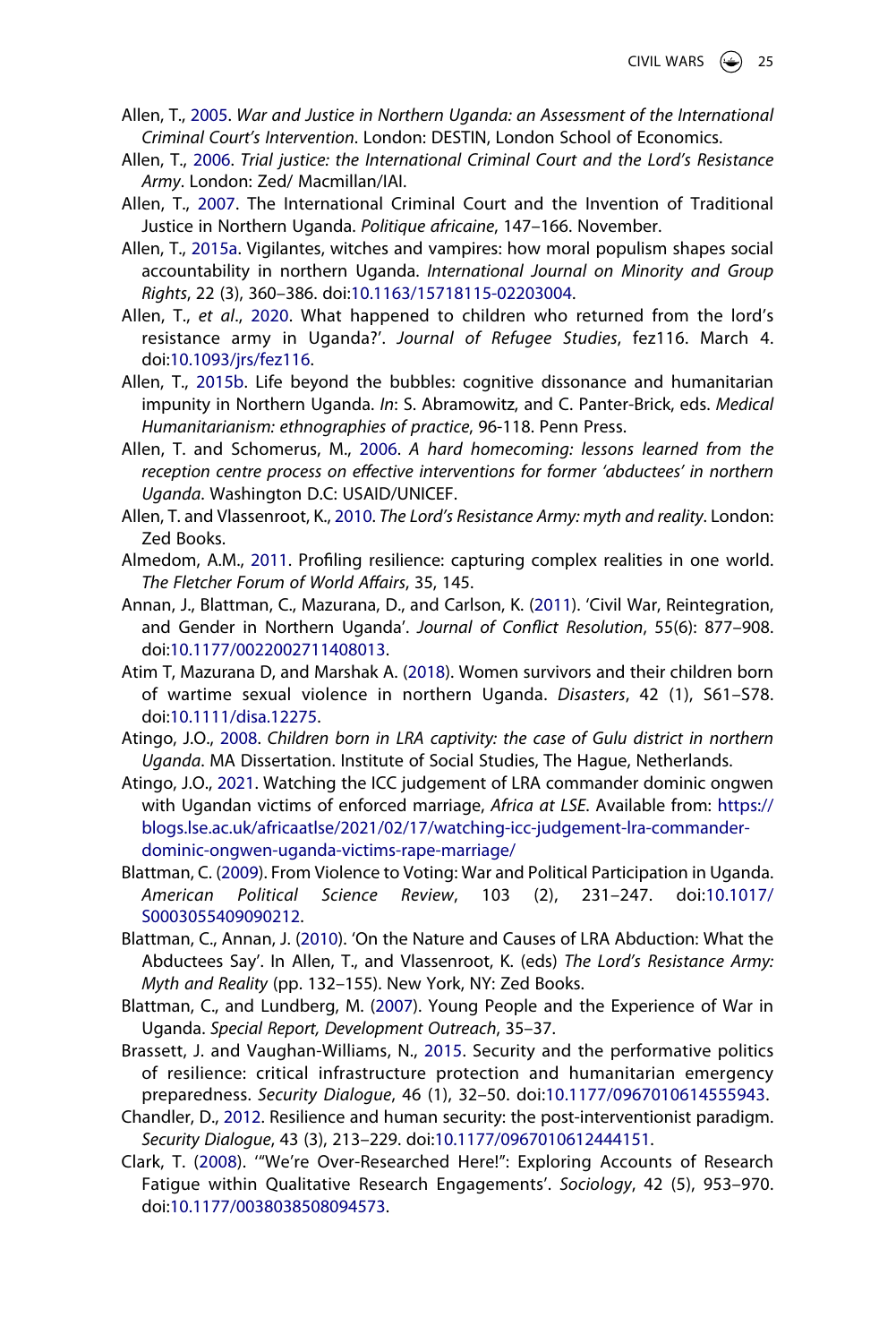- <span id="page-25-7"></span>Allen, T., [2005.](#page-4-0) *War and Justice in Northern Uganda: an Assessment of the International Criminal Court's Intervention*. London: DESTIN, London School of Economics.
- <span id="page-25-4"></span>Allen, T., [2006.](#page-3-1) *Trial justice: the International Criminal Court and the Lord's Resistance Army*. London: Zed/ Macmillan/IAI.
- <span id="page-25-8"></span>Allen, T., [2007](#page-6-0). The International Criminal Court and the Invention of Traditional Justice in Northern Uganda. *Politique africaine*, 147–166. November.
- <span id="page-25-9"></span>Allen, T., [2015a](#page-6-0). Vigilantes, witches and vampires: how moral populism shapes social accountability in northern Uganda. *International Journal on Minority and Group Rights*, 22 (3), 360–386. doi:[10.1163/15718115-02203004.](https://doi.org/10.1163/15718115-02203004)
- <span id="page-25-3"></span>Allen, T., *et al*., [2020.](#page-2-0) What happened to children who returned from the lord's resistance army in Uganda?'. *Journal of Refugee Studies*, fez116. March 4. doi:[10.1093/jrs/fez116](https://doi.org/10.1093/jrs/fez116).
- <span id="page-25-10"></span>Allen, T., [2015b.](#page-6-0) Life beyond the bubbles: cognitive dissonance and humanitarian impunity in Northern Uganda. *In*: S. Abramowitz, and C. Panter-Brick, eds. *Medical Humanitarianism: ethnographies of practice*, 96-118. Penn Press.
- <span id="page-25-6"></span>Allen, T. and Schomerus, M., [2006](#page-3-2). *A hard homecoming: lessons learned from the reception centre process on effective interventions for former 'abductees' in northern Uganda*. Washington D.C: USAID/UNICEF.
- <span id="page-25-5"></span>Allen, T. and Vlassenroot, K., [2010.](#page-3-1) *The Lord's Resistance Army: myth and reality*. London: Zed Books.
- <span id="page-25-0"></span>Almedom, A.M., [2011](#page-1-2). Profiling resilience: capturing complex realities in one world. *The Fletcher Forum of World Affairs*, 35, 145.
- <span id="page-25-16"></span>Annan, J., Blattman, C., Mazurana, D., and Carlson, K. ([2011](#page-18-1)). 'Civil War, Reintegration, and Gender in Northern Uganda'. *Journal of Conflict Resolution*, 55(6): 877–908. doi:[10.1177/0022002711408013](https://doi.org/10.1177/0022002711408013).
- <span id="page-25-17"></span>Atim T, Mazurana D, and Marshak A. [\(2018\)](#page-18-2). Women survivors and their children born of wartime sexual violence in northern Uganda. *Disasters*, 42 (1), S61–S78. doi:[10.1111/disa.12275.](https://doi.org/10.1111/disa.12275)
- <span id="page-25-11"></span>Atingo, J.O., [2008](#page-6-1). *Children born in LRA captivity: the case of Gulu district in northern Uganda*. MA Dissertation. Institute of Social Studies, The Hague, Netherlands.
- <span id="page-25-12"></span>Atingo, J.O., [2021.](#page-6-1) Watching the ICC judgement of LRA commander dominic ongwen with Ugandan victims of enforced marriage, *Africa at LSE*. Available from: [https://](https://blogs.lse.ac.uk/africaatlse/2021/02/17/watching-icc-judgement-lra-commander-dominic-ongwen-uganda-victims-rape-marriage/) [blogs.lse.ac.uk/africaatlse/2021/02/17/watching-icc-judgement-lra-commander](https://blogs.lse.ac.uk/africaatlse/2021/02/17/watching-icc-judgement-lra-commander-dominic-ongwen-uganda-victims-rape-marriage/)[dominic-ongwen-uganda-victims-rape-marriage/](https://blogs.lse.ac.uk/africaatlse/2021/02/17/watching-icc-judgement-lra-commander-dominic-ongwen-uganda-victims-rape-marriage/)
- <span id="page-25-14"></span>Blattman, C. [\(2009\)](#page-18-3). From Violence to Voting: War and Political Participation in Uganda. *American Political Science Review*, 103 (2), 231–247. doi:[10.1017/](https://doi.org/10.1017/S0003055409090212) [S0003055409090212](https://doi.org/10.1017/S0003055409090212).
- <span id="page-25-15"></span>Blattman, C., Annan, J. ([2010](#page-18-1)). 'On the Nature and Causes of LRA Abduction: What the Abductees Say'. In Allen, T., and Vlassenroot, K. (eds) *The Lord's Resistance Army: Myth and Reality* (pp. 132–155). New York, NY: Zed Books.
- <span id="page-25-13"></span>Blattman, C., and Lundberg, M. [\(2007\)](#page-18-3). Young People and the Experience of War in Uganda. *Special Report, Development Outreach*, 35–37.
- <span id="page-25-2"></span>Brassett, J. and Vaughan-Williams, N., [2015](#page-2-1). Security and the performative politics of resilience: critical infrastructure protection and humanitarian emergency preparedness. *Security Dialogue*, 46 (1), 32–50. doi:[10.1177/0967010614555943](https://doi.org/10.1177/0967010614555943).
- <span id="page-25-1"></span>Chandler, D., [2012.](#page-2-2) Resilience and human security: the post-interventionist paradigm. *Security Dialogue*, 43 (3), 213–229. doi:[10.1177/0967010612444151](https://doi.org/10.1177/0967010612444151).
- <span id="page-25-18"></span>Clark, T. [\(2008](#page-21-0)). '"We're Over-Researched Here!": Exploring Accounts of Research Fatigue within Qualitative Research Engagements'. *Sociology*, 42 (5), 953–970. doi:[10.1177/0038038508094573](https://doi.org/10.1177/0038038508094573).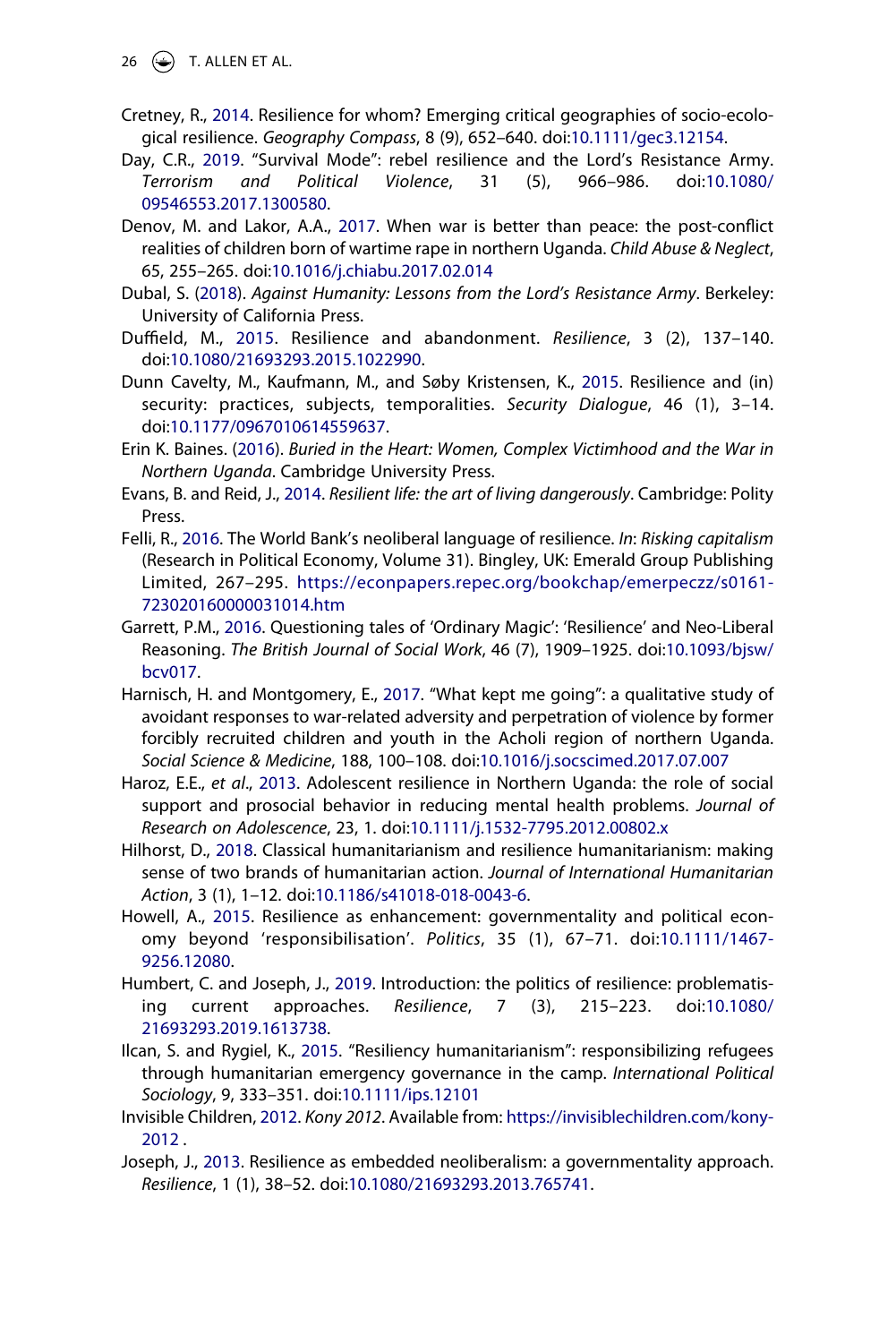- 26  $\left(\bigcirc\right)$  T. ALLEN ET AL.
- <span id="page-26-1"></span>Cretney, R., [2014](#page-2-3). Resilience for whom? Emerging critical geographies of socio-ecological resilience. *Geography Compass*, 8 (9), 652–640. doi:[10.1111/gec3.12154.](https://doi.org/10.1111/gec3.12154)
- <span id="page-26-12"></span>Day, C.R., [2019.](#page-5-1) "Survival Mode": rebel resilience and the Lord's Resistance Army. *Terrorism and Political Violence*, 31 (5), 966–986. doi:[10.1080/](https://doi.org/10.1080/09546553.2017.1300580) [09546553.2017.1300580](https://doi.org/10.1080/09546553.2017.1300580).
- <span id="page-26-15"></span>Denov, M. and Lakor, A.A., [2017.](#page-18-2) When war is better than peace: the post-conflict realities of children born of wartime rape in northern Uganda. *Child Abuse & Neglect*, 65, 255–265. doi:[10.1016/j.chiabu.2017.02.014](https://doi.org/10.1016/j.chiabu.2017.02.014)
- <span id="page-26-16"></span>Dubal, S. ([2018](#page-19-0)). *Against Humanity: Lessons from the Lord's Resistance Army*. Berkeley: University of California Press.
- <span id="page-26-3"></span>Duffield, M., [2015.](#page-2-1) Resilience and abandonment. *Resilience*, 3 (2), 137–140. doi:[10.1080/21693293.2015.1022990](https://doi.org/10.1080/21693293.2015.1022990).
- <span id="page-26-4"></span>Dunn Cavelty, M., Kaufmann, M., and Søby Kristensen, K., [2015.](#page-2-1) Resilience and (in) security: practices, subjects, temporalities. *Security Dialogue*, 46 (1), 3–14. doi:[10.1177/0967010614559637](https://doi.org/10.1177/0967010614559637).
- <span id="page-26-14"></span>Erin K. Baines. [\(2016\)](#page-18-2). *Buried in the Heart: Women, Complex Victimhood and the War in Northern Uganda*. Cambridge University Press.
- <span id="page-26-2"></span>Evans, B. and Reid, J., [2014.](#page-2-3) *Resilient life: the art of living dangerously*. Cambridge: Polity Press.
- <span id="page-26-8"></span>Felli, R., [2016](#page-2-4). The World Bank's neoliberal language of resilience. *In*: *Risking capitalism*  (Research in Political Economy, Volume 31). Bingley, UK: Emerald Group Publishing Limited, 267–295. [https://econpapers.repec.org/bookchap/emerpeczz/s0161-](https://econpapers.repec.org/bookchap/emerpeczz/s0161-723020160000031014.htm) [723020160000031014.htm](https://econpapers.repec.org/bookchap/emerpeczz/s0161-723020160000031014.htm)
- <span id="page-26-7"></span>Garrett, P.M., [2016](#page-2-4). Questioning tales of 'Ordinary Magic': 'Resilience' and Neo-Liberal Reasoning. *The British Journal of Social Work*, 46 (7), 1909–1925. doi:[10.1093/bjsw/](https://doi.org/10.1093/bjsw/bcv017) [bcv017](https://doi.org/10.1093/bjsw/bcv017).
- <span id="page-26-13"></span>Harnisch, H. and Montgomery, E., [2017.](#page-5-2) "What kept me going": a qualitative study of avoidant responses to war-related adversity and perpetration of violence by former forcibly recruited children and youth in the Acholi region of northern Uganda. *Social Science & Medicine*, 188, 100–108. doi:[10.1016/j.socscimed.2017.07.007](https://doi.org/10.1016/j.socscimed.2017.07.007)
- <span id="page-26-11"></span>Haroz, E.E., *et al*., [2013](#page-4-1). Adolescent resilience in Northern Uganda: the role of social support and prosocial behavior in reducing mental health problems. *Journal of Research on Adolescence*, 23, 1. doi:[10.1111/j.1532-7795.2012.00802.x](https://doi.org/10.1111/j.1532-7795.2012.00802.x)
- <span id="page-26-9"></span>Hilhorst, D., [2018](#page-2-4). Classical humanitarianism and resilience humanitarianism: making sense of two brands of humanitarian action. *Journal of International Humanitarian Action*, 3 (1), 1–12. doi:[10.1186/s41018-018-0043-6](https://doi.org/10.1186/s41018-018-0043-6).
- <span id="page-26-6"></span>Howell, A., [2015.](#page-2-4) Resilience as enhancement: governmentality and political economy beyond 'responsibilisation'. *Politics*, 35 (1), 67–71. doi:[10.1111/1467-](https://doi.org/10.1111/1467-9256.12080) [9256.12080.](https://doi.org/10.1111/1467-9256.12080)
- <span id="page-26-10"></span>Humbert, C. and Joseph, J., [2019.](#page-2-5) Introduction: the politics of resilience: problematising current approaches. *Resilience*, 7 (3), 215–223. doi:[10.1080/](https://doi.org/10.1080/21693293.2019.1613738) [21693293.2019.1613738](https://doi.org/10.1080/21693293.2019.1613738).
- <span id="page-26-5"></span>Ilcan, S. and Rygiel, K., [2015](#page-2-4). "Resiliency humanitarianism": responsibilizing refugees through humanitarian emergency governance in the camp. *International Political Sociology*, 9, 333–351. doi:[10.1111/ips.12101](https://doi.org/10.1111/ips.12101)
- <span id="page-26-17"></span>Invisible Children, [2012.](#page-20-0) *Kony 2012*. Available from: [https://invisiblechildren.com/kony-](https://invisiblechildren.com/kony-2012)[2012](https://invisiblechildren.com/kony-2012) .
- <span id="page-26-0"></span>Joseph, J., [2013.](#page-2-3) Resilience as embedded neoliberalism: a governmentality approach. *Resilience*, 1 (1), 38–52. doi:[10.1080/21693293.2013.765741.](https://doi.org/10.1080/21693293.2013.765741)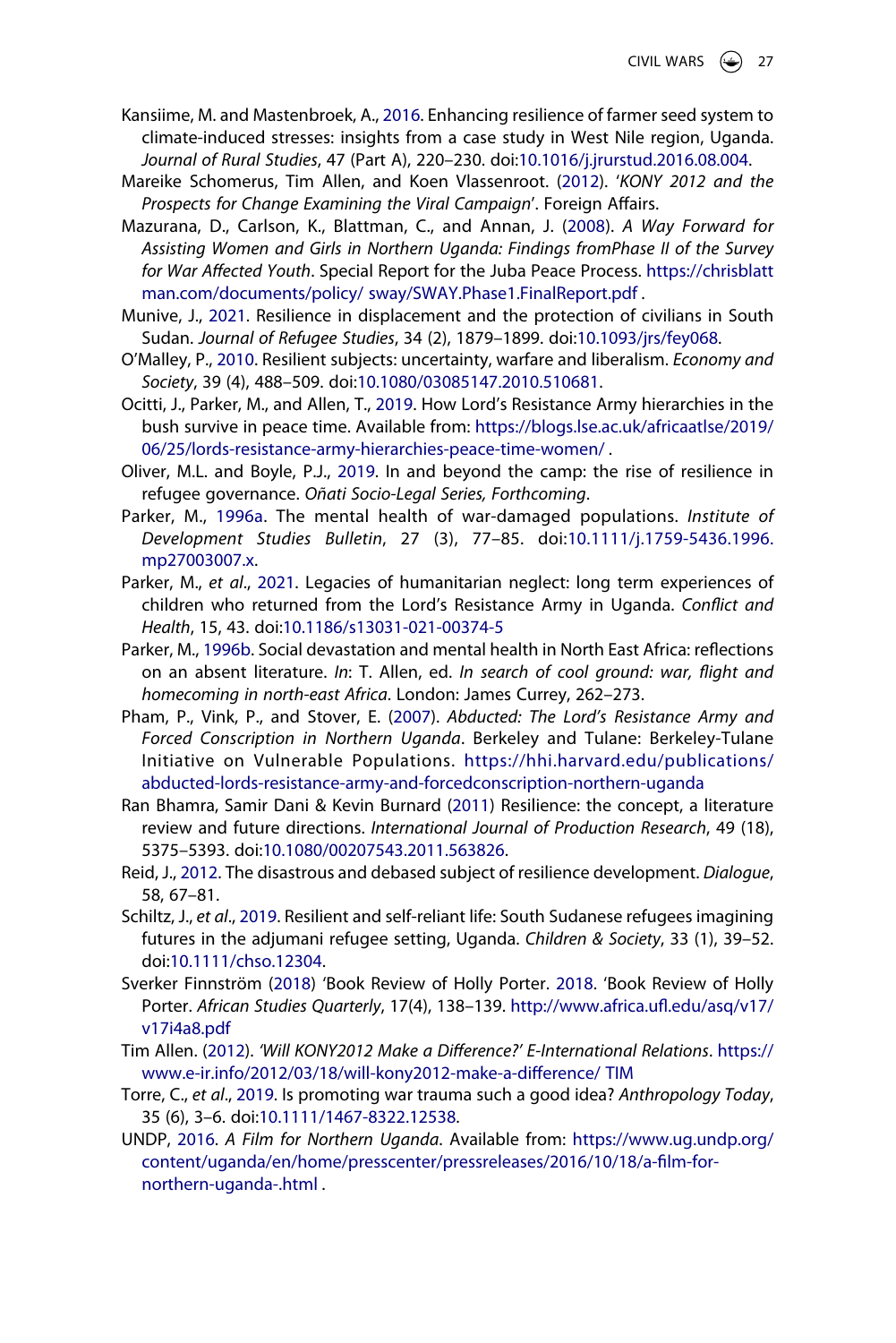- <span id="page-27-6"></span>Kansiime, M. and Mastenbroek, A., [2016.](#page-5-3) Enhancing resilience of farmer seed system to climate-induced stresses: insights from a case study in West Nile region, Uganda. *Journal of Rural Studies*, 47 (Part A), 220–230. doi:[10.1016/j.jrurstud.2016.08.004.](https://doi.org/10.1016/j.jrurstud.2016.08.004)
- <span id="page-27-14"></span>Mareike Schomerus, Tim Allen, and Koen Vlassenroot. ([2012](#page-20-1)). '*KONY 2012 and the Prospects for Change Examining the Viral Campaign*'. Foreign Affairs.
- <span id="page-27-12"></span>Mazurana, D., Carlson, K., Blattman, C., and Annan, J. [\(2008](#page-18-3)). *A Way Forward for Assisting Women and Girls in Northern Uganda: Findings fromPhase II of the Survey for War Affected Youth*. Special Report for the Juba Peace Process. [https://chrisblatt](https://chrisblattman.com/documents/policy/%26#x00A0;sway/SWAY.Phase1.FinalReport.pdf) [man.com/documents/policy/ sway/SWAY.Phase1.FinalReport.pdf](https://chrisblattman.com/documents/policy/%26#x00A0;sway/SWAY.Phase1.FinalReport.pdf) .
- <span id="page-27-4"></span>Munive, J., [2021.](#page-2-5) Resilience in displacement and the protection of civilians in South Sudan. *Journal of Refugee Studies*, 34 (2), 1879–1899. doi:[10.1093/jrs/fey068.](https://doi.org/10.1093/jrs/fey068)
- <span id="page-27-1"></span>O'Malley, P., [2010.](#page-2-2) Resilient subjects: uncertainty, warfare and liberalism. *Economy and Society*, 39 (4), 488–509. doi:[10.1080/03085147.2010.510681.](https://doi.org/10.1080/03085147.2010.510681)
- <span id="page-27-17"></span>Ocitti, J., Parker, M., and Allen, T., [2019](#page-21-1). How Lord's Resistance Army hierarchies in the bush survive in peace time. Available from: [https://blogs.lse.ac.uk/africaatlse/2019/](https://blogs.lse.ac.uk/africaatlse/2019/06/25/lords-resistance-army-hierarchies-peace-time-women/) [06/25/lords-resistance-army-hierarchies-peace-time-women/](https://blogs.lse.ac.uk/africaatlse/2019/06/25/lords-resistance-army-hierarchies-peace-time-women/) .
- <span id="page-27-3"></span>Oliver, M.L. and Boyle, P.J., [2019](#page-2-5). In and beyond the camp: the rise of resilience in refugee governance. *Oñati Socio-Legal Series, Forthcoming*.
- <span id="page-27-9"></span>Parker, M., [1996a](#page-6-0). The mental health of war-damaged populations. *Institute of Development Studies Bulletin*, 27 (3), 77–85. doi:[10.1111/j.1759-5436.1996.](https://doi.org/10.1111/j.1759-5436.1996.mp27003007.x) [mp27003007.x.](https://doi.org/10.1111/j.1759-5436.1996.mp27003007.x)
- <span id="page-27-5"></span>Parker, M., *et al*., [2021.](#page-2-0) Legacies of humanitarian neglect: long term experiences of children who returned from the Lord's Resistance Army in Uganda. *Conflict and Health*, 15, 43. doi:[10.1186/s13031-021-00374-5](https://doi.org/10.1186/s13031-021-00374-5)
- <span id="page-27-10"></span>Parker, M., [1996b.](#page-6-0) Social devastation and mental health in North East Africa: reflections on an absent literature. *In*: T. Allen, ed. *In search of cool ground: war, flight and homecoming in north-east Africa*. London: James Currey, 262–273.
- <span id="page-27-11"></span>Pham, P., Vink, P., and Stover, E. [\(2007\)](#page-18-3). *Abducted: The Lord's Resistance Army and Forced Conscription in Northern Uganda*. Berkeley and Tulane: Berkeley-Tulane Initiative on Vulnerable Populations. [https://hhi.harvard.edu/publications/](https://hhi.harvard.edu/publications/abducted-lords-resistance-army-and-forcedconscription-northern-uganda)  [abducted-lords-resistance-army-and-forcedconscription-northern-uganda](https://hhi.harvard.edu/publications/abducted-lords-resistance-army-and-forcedconscription-northern-uganda)
- <span id="page-27-0"></span>Ran Bhamra, Samir Dani & Kevin Burnard [\(2011\)](#page-1-3) Resilience: the concept, a literature review and future directions. *International Journal of Production Research*, 49 (18), 5375–5393. doi:[10.1080/00207543.2011.563826](https://doi.org/10.1080/00207543.2011.563826).
- <span id="page-27-2"></span>Reid, J., [2012.](#page-2-2) The disastrous and debased subject of resilience development. *Dialogue*, 58, 67–81.
- <span id="page-27-7"></span>Schiltz, J., *et al*., [2019.](#page-5-4) Resilient and self-reliant life: South Sudanese refugees imagining futures in the adjumani refugee setting, Uganda. *Children & Society*, 33 (1), 39–52. doi:[10.1111/chso.12304](https://doi.org/10.1111/chso.12304).
- <span id="page-27-15"></span>Sverker Finnström [\(2018\)](#page-21-0) 'Book Review of Holly Porter. [2018](#page-21-0). 'Book Review of Holly Porter. *African Studies Quarterly*, 17(4), 138–139. [http://www.africa.ufl.edu/asq/v17/](http://www.africa.ufl.edu/asq/v17/v17i4a8.pdf) [v17i4a8.pdf](http://www.africa.ufl.edu/asq/v17/v17i4a8.pdf)
- <span id="page-27-13"></span>Tim Allen. ([2012](#page-20-0)). *'Will KONY2012 Make a Difference?' E-International Relations*. [https://](https://www.e-ir.info/2012/03/18/will-kony2012-make-a-difference/%26#x00A0;TIM) [www.e-ir.info/2012/03/18/will-kony2012-make-a-difference/ TIM](https://www.e-ir.info/2012/03/18/will-kony2012-make-a-difference/%26#x00A0;TIM)
- <span id="page-27-16"></span>Torre, C., *et al*., [2019](#page-21-2). Is promoting war trauma such a good idea? *Anthropology Today*, 35 (6), 3–6. doi:[10.1111/1467-8322.12538](https://doi.org/10.1111/1467-8322.12538).
- <span id="page-27-8"></span>UNDP, [2016](#page-5-5). *A Film for Northern Uganda*. Available from: [https://www.ug.undp.org/](https://www.ug.undp.org/content/uganda/en/home/presscenter/pressreleases/2016/10/18/a-film-for-northern-uganda-.html) [content/uganda/en/home/presscenter/pressreleases/2016/10/18/a-film-for](https://www.ug.undp.org/content/uganda/en/home/presscenter/pressreleases/2016/10/18/a-film-for-northern-uganda-.html)[northern-uganda-.html](https://www.ug.undp.org/content/uganda/en/home/presscenter/pressreleases/2016/10/18/a-film-for-northern-uganda-.html) .